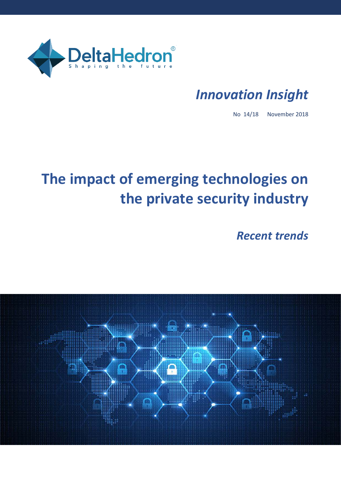

# *Innovation Insight*

No 14/18 November 2018

# **The impact of emerging technologies on the private security industry**

*Recent trends*

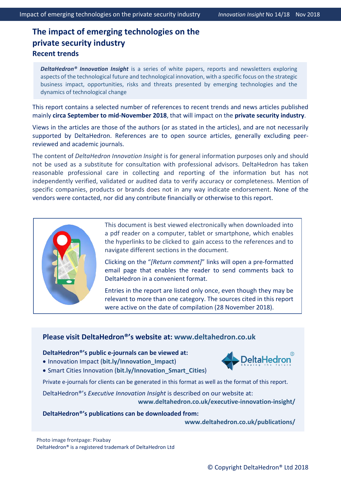## **The impact of emerging technologies on the private security industry Recent trends**

*DeltaHedron® Innovation Insight* is a series of white papers, reports and newsletters exploring aspects of the technological future and technological innovation, with a specific focus on the strategic business impact, opportunities, risks and threats presented by emerging technologies and the dynamics of technological change

This report contains a selected number of references to recent trends and news articles published mainly **circa September to mid-November 2018**, that will impact on the **private security industry**.

Views in the articles are those of the authors (or as stated in the articles), and are not necessarily supported by DeltaHedron. References are to open source articles, generally excluding peerreviewed and academic journals.

The content of *DeltaHedron Innovation Insight* is for general information purposes only and should not be used as a substitute for consultation with professional advisors. DeltaHedron has taken reasonable professional care in collecting and reporting of the information but has not independently verified, validated or audited data to verify accuracy or completeness. Mention of specific companies, products or brands does not in any way indicate endorsement. None of the vendors were contacted, nor did any contribute financially or otherwise to this report.



This document is best viewed electronically when downloaded into a pdf reader on a computer, tablet or smartphone, which enables the hyperlinks to be clicked to gain access to the references and to navigate different sections in the document.

Clicking on the "*[Return comment]*" links will open a pre-formatted email page that enables the reader to send comments back to DeltaHedron in a convenient format.

Entries in the report are listed only once, even though they may be relevant to more than one category. The sources cited in this report were active on the date of compilation (28 November 2018).

### **Please visit DeltaHedron®'s website at: [www.deltahedron.co.uk](https://d.docs.live.net/3047860ba36d235f/DeltaHedron_OneDrive/Innovation%20Insight%20and%20Reports/Innovation%20Insight/2018-10-10_No%205-18_Security_Fidelity%20ADT/www.deltahedron.co.uk)**

#### **DeltaHedron®'s public e-journals can be viewed at:**

• Innovation Impact (**[bit.ly/Innovation\\_Impact](https://d.docs.live.net/3047860ba36d235f/DeltaHedron_OneDrive/Clients/ADT/bit.ly/Innovation_Impact)**)



• Smart Cities Innovation (**[bit.ly/Innovation\\_Smart\\_Cities](https://d.docs.live.net/3047860ba36d235f/DeltaHedron_OneDrive/Clients/ADT/bit.ly/Innovation_Smart_Cities)**)

Private e-journals for clients can be generated in this format as well as the format of this report.

DeltaHedron®'s *Executive Innovation Insight* is described on our website at: **[www.deltahedron.co.uk/executive-innovation-insight/](http://www.deltahedron.co.uk/executive-innovation-insight/)**

#### **DeltaHedron®'s publications can be downloaded from:**

**[www.deltahedron.co.uk/publications/](http://www.deltahedron.co.uk/publications/)**

Photo image frontpage: Pixabay DeltaHedron® is a registered trademark of DeltaHedron Ltd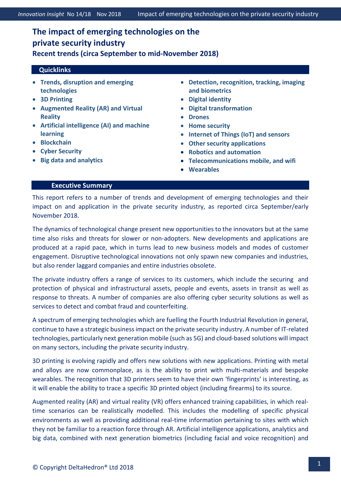## **The impact of emerging technologies on the private security industry Recent trends (circa September to mid-November 2018)**

#### <span id="page-2-0"></span> **Quicklinks**

- **[Trends, disruption and emerging](#page-3-0)  [technologies](#page-3-0)**
- **[3D Printing](#page-3-1)**
- **[Augmented Reality \(AR\) and Virtual](#page-4-0)  [Reality](#page-4-0)**
- **[Artificial intelligence \(AI\) and machine](#page-5-0)  [learning](#page-5-0)**
- **[Blockchain](#page-6-0)**
- **[Cyber Security](#page-7-0)**
- **[Big data and analytics](#page-8-0)**
- **[Detection, recognition, tracking, imaging](#page-9-0)  [and biometrics](#page-9-0)**
- **[Digital identity](#page-11-0)**
- **[Digital transformation](#page-12-0)**
- **[Drones](#page-12-1)**
- **[Home security](#page-17-0)**
- **[Internet of Things \(IoT\)](#page-18-0) and sensors**
- **[Other security applications](#page-20-0)**
- **[Robotics and automation](#page-21-0)**
- **[Telecommunications mobile, and wifi](#page-22-0)**
- **[Wearables](#page-22-1)**

#### **Executive Summary**

This report refers to a number of trends and development of emerging technologies and their impact on and application in the private security industry, as reported circa September/early November 2018.

The dynamics of technological change present new opportunities to the innovators but at the same time also risks and threats for slower or non-adopters. New developments and applications are produced at a rapid pace, which in turns lead to new business models and modes of customer engagement. Disruptive technological innovations not only spawn new companies and industries, but also render laggard companies and entire industries obsolete.

The private industry offers a range of services to its customers, which include the securing and protection of physical and infrastructural assets, people and events, assets in transit as well as response to threats. A number of companies are also offering cyber security solutions as well as services to detect and combat fraud and counterfeiting.

A spectrum of emerging technologies which are fuelling the Fourth Industrial Revolution in general, continue to have a strategic business impact on the private security industry. A number of IT-related technologies, particularly next generation mobile (such as 5G) and cloud-based solutions will impact on many sectors, including the private security industry.

3D printing is evolving rapidly and offers new solutions with new applications. Printing with metal and alloys are now commonplace, as is the ability to print with multi-materials and bespoke wearables. The recognition that 3D printers seem to have their own 'fingerprints' is interesting, as it will enable the ability to trace a specific 3D printed object (including firearms) to its source.

Augmented reality (AR) and virtual reality (VR) offers enhanced training capabilities, in which realtime scenarios can be realistically modelled. This includes the modelling of specific physical environments as well as providing additional real-time information pertaining to sites with which they not be familiar to a reaction force through AR. Artificial intelligence applications, analytics and big data, combined with next generation biometrics (including facial and voice recognition) and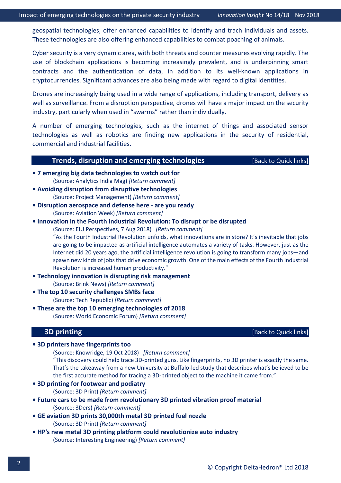geospatial technologies, offer enhanced capabilities to identify and trach individuals and assets. These technologies are also offering enhanced capabilities to combat poaching of animals.

Cyber security is a very dynamic area, with both threats and counter measures evolving rapidly. The use of blockchain applications is becoming increasingly prevalent, and is underpinning smart contracts and the authentication of data, in addition to its well-known applications in cryptocurrencies. Significant advances are also being made with regard to digital identities.

Drones are increasingly being used in a wide range of applications, including transport, delivery as well as surveillance. From a disruption perspective, drones will have a major impact on the security industry, particularly when used in "swarms" rather than individually.

A number of emerging technologies, such as the internet of things and associated sensor technologies as well as robotics are finding new applications in the security of residential, commercial and industrial facilities.

#### **Trends, disruption and emerging technologies** [\[Back to Quick links\]](#page-2-0)

- <span id="page-3-0"></span>**[• 7 emerging big data technologies to watch out for](https://www.analyticsindiamag.com/7-emerging-big-data-technologies-to-watch-out-for/)** (Source: Analytics India Mag) *[\[Return comment\]](mailto:info@deltahedron.co.uk?subject=Comment%20on:%207%20best%20camera%20drones%20for%20aerial%20photography%20)*
- **[Avoiding disruption from disruptive technologies](https://www.projectmanagement.com/articles/495392/Avoiding-Disruption-From-Disruptive-Technologies)** (Source: Project Management) *[\[Return comment\]](mailto:imailto:info@deltahedron.co.uknfo@deltahedron.co.uk?subject=Comment%20on:%20Autonomous%20everything:%20how%20algorithms%20are%20taking%20over%20our%20world%20)*
- **Disrupt[ion aerospace and defense here -](http://aviationweek.com/knowledge-center/disruption-aerospace-and-defense-here-are-you-ready) are you ready** (Source: Aviation Week) *[\[Return comment\]](mailto:info@deltahedron.co.uk?subject=Comment%20on:%20Disruption%20aerospace%20and%20defense%20here%20are%20you%20ready)*
- **[Innovation in the Fourth Industrial Revolution: To disrupt or be disrupted](https://eiuperspectives.economist.com/technology-innovation/navigating-fourth-industrial-revolution/white-paper/innovation-fourth-industrial-revolution-disrupt-or-be-disrupted)**

(Source: EIU Perspectives, 7 Aug 2018) *[\[Return comment\]](mailto:info@deltahedron.co.uk?subject=Comment%20on:%20Innovation%20in%20the%20fourth%20industrial%20revolution:%20To%20disrupt%20or%20be%20disrupted)*

"As the Fourth Industrial Revolution unfolds, what innovations are in store? It's inevitable that jobs are going to be impacted as artificial intelligence automates a variety of tasks. However, just as the Internet did 20 years ago, the artificial intelligence revolution is going to transform many jobs—and spawn new kinds of jobs that drive economic growth. One of the main effects of the Fourth Industrial Revolution is increased human productivity."

- **[Technology innovation is disrupting risk management](http://www.brinknews.com/technology-innovation-is-disrupting-risk-management/?utm_source=BRINKSubscribers&utm_campaign=a36e0f19a6-EMAIL_CAMPAIGN_2018_10_02_08_50&utm_medium=email&utm_term=0_c3639d7c98-a36e0f19a6-110323357)** (Source: Brink News) *[\[Return comment\]](mailto:info@deltahedron.co.uk?subject=Comment%20on:%20Technology%20innovation%20is%20disrupting%20risk%20management)*
- **[The top 10 security challenges SMBs face](https://www.techrepublic.com/article/the-top-10-security-challenges-smbs-face/?ftag=TREf7159e0&bhid=27427167040507251715851572023239)**

(Source: Tech Republic) *[\[Return comment\]](mailto:info@deltahedron.co.uk?subject=Comment%20on:%20The%20top%2010%20security%20challenges%20smbs%20face%20)*

<span id="page-3-1"></span>**[• These are the top 10 emerging technologies of 2018](https://www.weforum.org/agenda/2018/09/top-10-emerging-technologies-of-2018/)**  (Source: World Economic Forum) *[\[Return comment\]](mailto:info@deltahedron.co.uk?subject=Comment%20on:%20These%20are%20the%20top%2010%20emerging%20technologies%20of%202018%20)*

**3D printing 1999 1999 1999 1999 1999 1999 1999 1999 1999 1999 1999 1999 1999 1999 1999 1999 1999 1999 1999 1999 1999 1999 1999 1999 1999 1999 1999 1999 1999 1999** 

**• [3D printers have fingerprints too](https://knowridge.com/2018/10/3d-printers-have-fingerprints-too/)**

(Source: Knowridge, 19 Oct 2018) *[\[Return comment\]](mailto:info@deltahedron.co.uk?subject=Comment%20on:%203D%20printers%20have%20fingerprints%20too)*

"This discovery could help trace 3D-printed guns. Like fingerprints, no 3D printer is exactly the same. That's the takeaway from a new University at Buffalo-led study that describes what's believed to be the first accurate method for tracing a 3D-printed object to the machine it came from."

- **[3D printing for footwear and podiatry](https://3dprint.com/225991/3d-printing-for-footwear-and-podiatry/)**  (Source: 3D Print) *[\[Return comment\]](mailto:info@deltahedron.co.uk?subject=Comment%20on:%203d%20printing%20for%20footwear%20and%20podiatry%20)*
- **Future cars to be made from revol[utionary 3D printed vibration proof material](http://www.3ders.org/articles/20181008-future-cars-to-be-made-from-revolutionary-3d-printed-vibration-proof-material.html)** (Source: 3Ders) *[\[Return comment\]](mailto:info@deltahedron.co.uk?subject=Comment%20on:%25Future%20cars%20to%20be%20made%20from%20revolutionary%203d%20printed%20vibration%20proof%20material)*
- **[GE aviation 3D prints 30,000th metal 3D printed fuel nozzle](https://3dprint.com/226703/ge-aviation-fuel-nozzle-3d-printed-30000/)**  (Source: 3D Print) *[\[Return comment\]](mailto:imailto:info@deltahedron.co.uknfo@deltahedron.co.uk?subject=Comment%20on:%20Gas-sensing%20smart%20capsule%20expected%20as%20soon%20as%202022)*
- **[HP's new metal 3D printing platform could revolutionize auto industry](https://interestingengineering.com/hps-new-metal-3d-printing-platform-could-revolutionize-auto-industry?_source=newsletter&_campaign=1Ea0vPlkl2Rv0&_uid=K9b68MkneE&_h=d15ee70333b0a386c84f635a4bdf9e59ee4f2966&utm_source=newsletter&utm_medium=mailing&utm_campaign=Newsletter-11-09-2018)** (Source: Interesting Engineering) *[\[Return comment\]](mailto:info@deltahedron.co.uk?subject=Comment%20on:%20Hp)*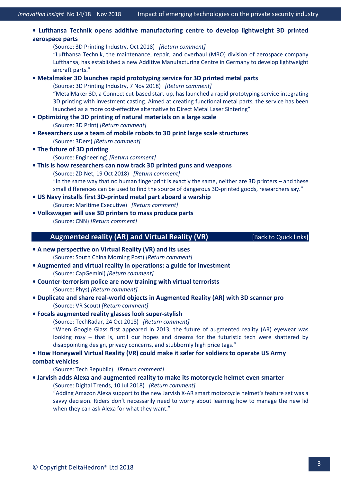**• [Lufthansa Technik opens additive manufacturing centre](https://3dprintingindustry.com/news/lufthansa-technik-opens-additive-manufacturing-center-to-develop-lightweight-3d-printed-aerospace-parts-141537/) to develop lightweight 3D printed [aerospace parts](https://3dprintingindustry.com/news/lufthansa-technik-opens-additive-manufacturing-center-to-develop-lightweight-3d-printed-aerospace-parts-141537/)**

(Source: 3D Printing Industry, Oct 2018) *[\[Return comment\]](mailto:info@deltahedron.co.uk?subject=Comment%20on:%20Lufthansa%20technik%20opens%20additive%20manufacturing%20center%20to%20develop%20lightweight%203D%20printed%20aerospace%20parts)* "Lufthansa Technik, the maintenance, repair, and overhaul (MRO) division of aerospace company Lufthansa, has established a new Additive Manufacturing Centre in Germany to develop lightweight aircraft parts."

**• [Metalmaker 3D launches rapid prototyping service for 3D printed metal parts](https://3dprintingindustry.com/news/metalmaker-3d-launches-rapid-prototyping-service-for-3d-printed-metal-parts-142735/)**

(Source: 3D Printing Industry, 7 Nov 2018) *[\[Return comment\]](mailto:info@deltahedron.co.uk?subject=Comment%20on:%20Metalmaker%203D%20launches%20rapid%20prototyping%20service%20for%203D%20printed%20metal%20parts)*

"MetalMaker 3D, a Connecticut-based start-up, has launched a rapid prototyping service integrating 3D printing with investment casting. Aimed at creating functional metal parts, the service has been launched as a more cost-effective alternative to Direct Metal Laser Sintering"

- **[Optimizing the 3D printing of natural materials on a large scal](https://3dprint.com/225832/3d-printing-natural-materials/)e**  (Source: 3D Print) *[\[Return comment\]](mailto:info@deltahedron.co.uk?subject=Comment%20on:%20Optimizing%20the%203d%20printing%20of%20natural%20materials%20on%20a%20large%20scale%20)*
- **[Researchers use a team of mobile robots to 3D print large scale structures](http://www.3ders.org/articles/20180829-researchers-use-a-team-of-mobile-robots-to-3d-print-large-scale-structures.html)** (Source: 3Ders) *[\[Return comment\]](mailto:info@deltahedron.co.uk?subject=Comment%20on:%25Researchers%20use%20a%20team%20of%20mobile%20robots%20to%203d%20print%20large%20scale%20structures)*
- **The fu[ture of 3D printing](https://www.engineering.com/ResourceMain.aspx?e_src=relres-ecom&resid=700)**
	- (Source: Engineering) *[\[Return comment\]](mailto:info@deltahedron.co.uk?subject=Comment%20on:%20Ebook:%20the%20future%20of%203d%20printing)*
- **[This is how researchers can now track 3D printed guns and weapons](https://www.zdnet.com/article/this-is-how-researchers-can-now-track-3d-printed-guns-weapons/)** (Source: ZD Net, 19 Oct 2018) *[\[Return comment\]](mailto:info@deltahedron.co.uk?subject=Comment%20on:%20This%20is%20how%20researchers%20can%20now%20track%203D%20printed%20guns,%20weapons)* "In the same way that no human fingerprint is exactly the same, neither are 3D printers – and these small differences can be used to find the source of dangerous 3D-printed goods, researchers say."
- **[US Navy installs first 3D-printed metal part aboard a warship](https://maritime-executive.com/article/u-s-navy-installs-first-3d-printed-metal-part-aboard-a-warship?fb_ref=5uyUMqfzin-Twitter)** (Source: Maritime Executive) *[\[Return comment\]](mailto:info@deltahedron.co.uk?subject=Comment%20on:%20US%20Navy%20installs%20first%203D-printed%20metal%20part%20aboard%20a%20warship)*
- <span id="page-4-0"></span>**• Volkswagen will use 3D [printers to mass produce parts](https://edition.cnn.com/2018/09/28/tech/volkswagen-3d-printing-parts/)**  (Source: CNN) *[\[Return comment\]](mailto:info@deltahedron.co.uk?subject=Comment%20on:%20Volkswagen%20will%20use%203d%20printers%20to%20mass%20produce%20parts%20)*

#### **Augmented reality (AR) and Virtual Reality (VR)** [\[Back to Quick links\]](#page-2-0)

- **[A new perspective on Virtual Reality \(VR\) and its uses](https://yp.scmp.com/over-to-you/letters-to-the-editor/article/110672/new-perspective-vr-and-its-uses)**  (Source: South China Morning Post) *[\[Return comment\]](mailto:info@deltahedron.co.uk?subject=Comment%20on:%20A%20new%20perspective%20on%20Virtual%20Reality%20(VR)%20and%20its%20uses%20)*
- **[Augmented and virtual reality in operations: a guide for investment](https://www.capgemini.com/research/augmented-and-virtual-reality-in-operations/)** (Source: CapGemini) *[\[Return comment\]](mailto:info@deltahedron.co.uk?subject=Comment%20on:%20Augmented%20and%20virtual%20reality%20in%20operations:%20a%20guide%20for%20investment)*
- **Counter[-terrorism police are now training with virtual terrorists](https://phys.org/news/2018-05-counter-terrorism-police-virtual-terrorists.html)** (Source: Phys) *[\[Return comment\]](mailto:info@deltahedron.co.uk?subject=Comment%20on:%20Counter-terrorism%20police%20are%20now%20training%20with%20virtual%20terrorists)*
- **Duplicate and share real[-world objects in Augmented Reality \(AR\) with 3D scanner pro](https://vrscout.com/news/3d-scanner-app-ar-apple-quick-look/?utm_source=VRScoutScoutingReport&utm_campaign=a0eac9f79d-VRScoutReport_100518&utm_medium=email&utm_term=0_f3642cd298-a0eac9f79d-161995693)**  (Source: VR Scout) *[\[Return comment\]](mailto:info@deltahedron.co.uk?subject=Comment%20on:%20Duplicate%20&%20share%20real-world%20objects%20in%20Augmented%20Reality%20(AR)%20with%203d%20scanner%20pro%20)*

#### **• [Focals augmented reality glasses look super-stylish](https://www.techradar.com/news/focals-ar-glasses-look-super-stylish-but-theyll-cost-you)**

(Source: TechRadar, 24 Oct 2018) *[\[Return comment\]](mailto:info@deltahedron.co.uk?subject=Comment%20on:%20Focals%20AR%20glasses%20look%20super-stylish)*

"When Google Glass first appeared in 2013, the future of augmented reality (AR) eyewear was looking rosy – that is, until our hopes and dreams for the futuristic tech were shattered by disappointing design, privacy concerns, and stubbornly high price tags."

#### **[• How Honeywell Virtual Reality \(VR\) could make it safer for soldiers to operate US Army](https://www.techrepublic.com/article/how-honeywell-vr-could-make-it-safer-for-soldiers-to-operate-us-army-combat-vehicles/?ftag=TRE684d531&bhid=27427167040507251715851572023239)**

#### **[combat vehicles](https://www.techrepublic.com/article/how-honeywell-vr-could-make-it-safer-for-soldiers-to-operate-us-army-combat-vehicles/?ftag=TRE684d531&bhid=27427167040507251715851572023239)**

(Source: Tech Republic) *[\[Return comment\]](mailto:info@deltahedron.co.uk?subject=Comment%20on:%20How%20Honeywell%20Virtual%20Reality%20(VR)%20could%20make%20it%20safer%20for%20soldiers%20to%20operate%20us%20army%20combat%20vehicles%20)*

#### **• [Jarvish adds Alexa and augmented reality to make its motorcycle helmet even smarter](https://www.digitaltrends.com/cars/jarvish-x-ar-smart-motorcycle-helmet/)**

(Source: Digital Trends, 10 Jul 2018) *[\[Return comment\]](mailto:info@deltahedron.co.uk?subject=Comment%20on:%20Jarvish%20adds%20Alexa%20and%20AR%20to%20make%20its%20motorcycle%20helmet%20even%20smarter)*

"Adding Amazon Alexa support to the new Jarvish X-AR smart motorcycle helmet's feature set was a savvy decision. Riders don't necessarily need to worry about learning how to manage the new lid when they can ask Alexa for what they want."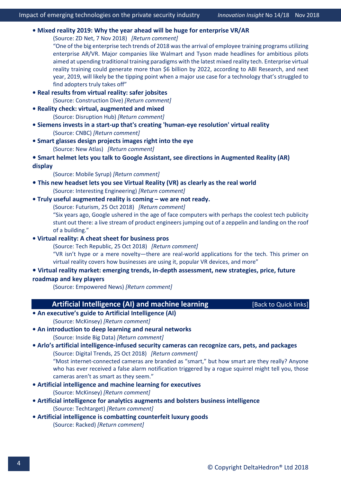#### **• [Mixed reality 2019: Why the year ahead will be huge for enterprise VR/AR](https://www.zdnet.com/article/mixed-reality-in-2019-why-the-year-ahead-will-be-huge-for-enterprise-ar-vr/?ftag=TRE-03-10aaa6b&bhid=27422036896811589305410055111452)**

(Source: ZD Net, 7 Nov 2018) *[\[Return comment\]](mailto:info@deltahedron.co.uk?subject=Comment%20on:%20Mixed%20reality%202019:%20Why%20the%20year%20ahead%20will%20be%20huge%20for%20enterprise%20VR/AR)*

"One of the big enterprise tech trends of 2018 was the arrival of employee training programs utilizing enterprise AR/VR. Major companies like Walmart and Tyson made headlines for ambitious pilots aimed at upending traditional training paradigms with the latest mixed reality tech. Enterprise virtual reality training could generate more than \$6 billion by 2022, according to ABI Research, and next year, 2019, will likely be the tipping point when a major use case for a technology that's struggled to find adopters truly takes off"

- **[Real results from virtual reality: safer jobsites](https://www.constructiondive.com/news/real-results-from-virtual-reality-safer-jobsites/532515/)**  (Source: Construction Dive) *[\[Return comment\]](mailto:info@deltahedron.co.uk?subject=Comment%20on:%20Real%20results%20from%20virtual%20reality:%20safer%20jobsites%20)*
- **[Reality check: virtual, augmented and mixed](https://disruptionhub.com/reality-check-virtual-augmented-mixed/)**  (Source: Disruption Hub) *[\[Return comment\]](mailto:info@deltahedron.co.uk?subject=Comment%20on:%20Reality%20check:%20virtual,%20augmented%20and%20mixed%20)*
- **Siemens invests in a start-up that's creating 'human-[eye resolution' virtual reality](https://www.cnbc.com/2018/10/08/siemens-invests-in-a-start-up-thats-creating-human-eye-resolution-virtual-reality.html)** (Source: CNBC) *[\[Return comment\]](mailto:info@deltahedron.co.uk?subject=Comment%20on:%20Siemens%20invests%20in%20a%20start-up%20that)*
- **[Smart glasses design projects images right into the eye](https://newatlas.com/leti-eye-smart-glasses/56698/?utm_medium=email&utm_campaign=2018-10-10%20084544%20Other%20Daily%20Basic%202018-10-10%20085006%20Caltech%20time-traveling%20illusion%20tricks%20the%20brain%20into%20seeing%20things%20that%20arent%20there&utm_content=2018-10-10%20084544%20Other%20Daily%20Basic%202018-10-10%20085006%20Caltech%20time-traveling%20illusion%20tricks%20the%20brain%20into%20seeing%20things%20that%20arent%20thereCID_0acd2cb47c85797eff9d3be75abbd4fe&utm_source=Campaign%20Monitor&utm_term=Smart%20glasses%20design%20projects%20images%20right%20into%20the%20eye)** (Source: New Atlas) *[\[Return comment\]](mailto:info@deltahedron.co.uk?subject=Comment%20on:%20%20smart%20glasses%20design%20projects%20images%20right%20into%20the%20eye)*

**[• Smart helmet lets you talk to Google Assistant, see directions in Augmented Reality \(AR\)](https://mobilesyrup.com/2018/10/08/jarvish-ar-smart-motorcycle-helmet-ar-display-assistant-siri-alexa/)  [display](https://mobilesyrup.com/2018/10/08/jarvish-ar-smart-motorcycle-helmet-ar-display-assistant-siri-alexa/)**

(Source: Mobile Syrup) *[\[Return comment\]](mailto:info@deltahedron.co.uk?subject=Comment%20on:%20Smart%20helmet%20lets%20you%20talk%20to%20google%20assistant,%20see%20directions%20in%20Augmented%20Reality%20(AR)%20display)*

- **[This new headset lets you see Virtual Reality \(VR\) as clearly as the real world](https://interestingengineering.com/this-new-headset-lets-you-see-vr-as-clearly-as-the-real-world?_source=newsletter&_campaign=BzbA9eDrLj2p7&_uid=K9b68MkneE&_h=d15ee70333b0a386c84f635a4bdf9e59ee4f2966&utm_source=newsletter&utm_medium=mailing&utm_campaign=Newsletter-08-10-2018)** (Source: Interesting Engineering) *[\[Return comment\]](mailto:info@deltahedron.co.uk?subject=Comment%20on:%20This%20new%20headset%20lets%20you%20see%20Virtual%20Reality%20(VR)%20as%20clearly%20as%20the%20real%20world)*
- **[Truly useful augmented reality is coming –](https://futurism.com/glimpse-augmented-reality) we are not ready.**

(Source: Futurism, 25 Oct 2018) *[\[Return comment\]](mailto:info@deltahedron.co.uk?subject=Comment%20on:%20Glimpse:%20Truly%20useful%20augmented%20reality%20is%20coming.%20We%E2%80%99re%20not%20ready.)*

"Six years ago, Google ushered in the age of face computers with perhaps the coolest tech publicity stunt out there: a live stream of product engineers jumping out of a zeppelin and landing on the roof of a building."

#### **• [Virtual reality: A cheat sheet for business pros](https://www.techrepublic.com/article/virtual-reality-a-cheat-sheet-for-business-pros/?ftag=TRE20d3f17&bhid=27427167040507251715851572023239)**

(Source: Tech Republic, 25 Oct 2018) *[\[Return comment\]](mailto:info@deltahedron.co.uk?subject=Comment%20on:%20Virtual%20reality:%20A%20cheat%20sheet%20for%20business%20pros)*

"VR isn't hype or a mere novelty—there are real-world applications for the tech. This primer on virtual reality covers how businesses are using it, popular VR devices, and more"

#### **• [Virtual reality market: emerging trends, in-depth assessment, new strategies, price, future](https://empowerednews.net/virtual-reality-market-emerging-trends-in-depth-assessment-new-strategies-price-future-roadmap-and-key-players/181306555/)  [roadmap and key players](https://empowerednews.net/virtual-reality-market-emerging-trends-in-depth-assessment-new-strategies-price-future-roadmap-and-key-players/181306555/)**

(Source: Empowered News) *[\[Return comment\]](mailto:info@deltahedron.co.uk?subject=Comment%20on:%20Virtual%20reality%20market:%20emerging%20trends,%20in-depth%20assessment,%20new%20strategies,%20price,%20future%20roadmap%20and%20key%20players)*

### **Artificial Intelligence (AI) and machine learning** [\[Back to Quick links\]](#page-2-0)

<span id="page-5-0"></span>**• An exec[utive's guide to Artificial Intelligence \(AI\)](https://www.mckinsey.com/business-functions/mckinsey-analytics/our-insights/an-executives-guide-to-ai?cid=other-eml-ttn-mip-mck-oth-1806&hlkid=4b5adbd962424349b47af01ff87b9dac&hctky=2879352&hdpid=f3a30356-6857-47f4-a1a5-0d0e5ff12a0a)**  (Source: McKinsey) *[\[Return comment\]](mailto:info@deltahedron.co.uk?subject=Comment%20on:%20An%20executive%E2%80%99s%20guide%20to%20Artificial%20Intelligence%20(AI)%20)*

**[• An introduction to deep learning and neural networks](https://insidebigdata.com/2018/10/07/introduction-deep-learning-neural-networks/)**  (Source: Inside Big Data) *[\[Return comment\]](mailto:info@deltahedron.co.uk?subject=Comment%20on:%20An%20introduction%20to%20deep%20learning%20and%20neural%20networks%20)*

# **• Arlo's artificial intelligence-[infused security cameras can recognize cars, pets, and packag](https://www.digitaltrends.com/home/arlo-artificial-intellgence-security-cameras-object-detecion/)es**

(Source: Digital Trends, 25 Oct 2018) *[\[Return comment\]](mailto:info@deltahedron.co.uk?subject=Comment%20on:%20Arlo%E2%80%99s%20AI-infused%20security%20cameras%20can%20recognize%20cars,%20pets,%20and%20packages)* "Most internet-connected cameras are branded as "smart," but how smart are they really? Anyone who has ever received a false alarm notification triggered by a rogue squirrel might tell you, those cameras aren't as smart as they seem."

**[• Artificial intelligence and machine learning for executives](https://www.mckinsey.com/business-functions/strategy-and-corporate-finance/our-insights/demystifying-ai-and-machine-learning-for-executives?cid=other-eml-alt-mip-mck-oth-1810&hlkid=7fe3a31739454e65ae246b46713cadbb&hctky=2879352&hdpid=f68959f4-6614-44ae-b132-2d72b4283e17)** 

(Source: McKinsey) *[\[Return comment\]](mailto:info@deltahedron.co.uk?subject=Comment%20on:%20Artificial%20intelligence%20and%20machine%20learning%20for%20executives%20)*

- **[Artificial intelligence for analytics augments and bolsters business intelligence](https://searchdatamanagement.techtarget.com/ezine/Business-Information/AI-for-analytics-augments-and-bolsters-business-intelligence)** (Source: Techtarget) *[\[Return comment\]](mailto:info@deltahedron.co.uk?subject=Comment%20on:%20Ai%20for%20analytics%20augments%20and%20bolsters%20business%20intelligence)*
- **[Artificial intelligence is combatting counte](https://www.racked.com/2018/7/17/17577266/artificial-intelligence-ai-counterfeit-luxury-goods-handbags-sneakers-goat-entrupy?utm_source=Sailthru&utm_medium=email&utm_campaign=Issue:%202018-07-19%20Retail%20Dive:%20Tech%20%5Bissue:16269%5D&utm_term=Retail%20Dive:%20Tech)rfeit luxury goods**  (Source: Racked) *[\[Return comment\]](mailto:info@deltahedron.co.uk?subject=Comment%20on:%20Artificial%20intelligence%20is%20combatting%20counterfeit%20luxury%20goods%20)*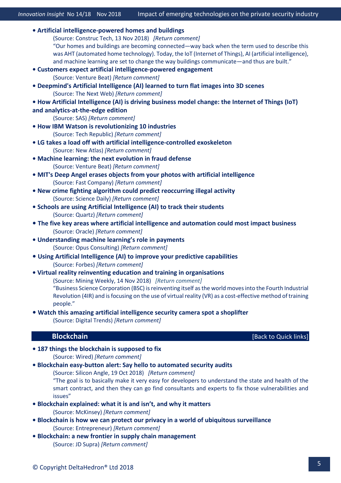- **[Artificial intelligence-powered homes and buildings](https://constructech.com/ai-powered-homes-and-buildings/)** (Source: Construc Tech, 13 Nov 2018) *[\[Return comment\]](mailto:info@deltahedron.co.uk?subject=Comment%20on:%20AI-powered%20homes%20and%20buildings)* "Our homes and buildings are becoming connected—way back when the term used to describe this was AHT (automated home technology). Today, the IoT (Internet of Things), AI (artificial intelligence), and machine learning are set to change the way buildings communicate—and thus are built." **[• Customers expect artificial intelligence](https://venturebeat.com/2018/10/08/customers-expect-ai-powered-engagement-can-you-deliver-vb-live/)-powered engagement**  (Source: Venture Beat) *[\[Return comment\]](mailto:info@deltahedron.co.uk?subject=Comment%20on:%20Customers%20expect%20ai-powered%20engagement%20)* **[• Deepmind's Artificial Intelligence \(AI\) learned to turn flat images into 3D scenes](https://thenextweb.com/artificial-intelligence/2018/06/29/deepminds-ai-learned-to-turn-flat-images-into-3d-scenes/)** (Source: The Next Web) *[\[Return comment\]](mailto:info@deltahedron.co.uk?subject=Comment%20on:%20Deepmind)* **• How Artificial Intelligence (AI) is driving bu[siness model change: the Internet of Things \(IoT\)](https://blogs.sas.com/content/hiddeninsights/2018/08/15/business-model-change-iot-and-analytics/?utm_source=Twitter&utm_medium=social-voicestorm&utm_content=1e37536f-da9b-4ce0-8252-f0410e6fc2ed)  [and analytics-at-the-edge edition](https://blogs.sas.com/content/hiddeninsights/2018/08/15/business-model-change-iot-and-analytics/?utm_source=Twitter&utm_medium=social-voicestorm&utm_content=1e37536f-da9b-4ce0-8252-f0410e6fc2ed)**  (Source: SAS) *[\[Return comment\]](mailto:info@deltahedron.co.uk?subject=Comment%20on:%20How%20Artificial%20Intelligence%20(AI)%20is%20driving%20business%20model%20change:%20the%20Internet%20of%20Things%20(IoT)%20and%20analytics-at-the-edge%20edition%20)* **[• How IBM Watson is revolutionizing 10 industries](https://www.techrepublic.com/article/how-ibm-watson-is-revolutionizing-10-industries/?ftag=TRE7f22199&bhid=27427167040507251715851572023239)**  (Source: Tech Republic) *[\[Return comment\]](mailto:info@deltahedron.co.uk?subject=Comment%20on:%20How%20ibm%20watson%20is%20revolutionizing%2010%20industries%20)* **[• LG takes a load off with artificial intelligence](https://newatlas.com/lg-cloi-suitbot/56043/?utm_medium=email&utm_campaign=2018-08-24%20083854%20Other%20Daily%20Basic%202018-08-24%20084313%20The%20molecular%20changes%20caused%20by%20sleep%20loss%20and%20how%20that%20leads%20to%20weight%20gain&utm_content=2018-08-24%20083854%20Other%20Daily%20Basic%202018-08-24%20084313%20The%20molecular%20changes%20caused%20by%20sleep%20loss%20and%20how%20that%20leads%20to%20weight%20gainCID_27b5e60242f81821e8850319da27955c&utm_source=Campaign%20Monitor&utm_term=LG%20takes%20a%20load%20off%20with%20AI-controlled%20exoskeleton)-controlled exoskeleton** (Source: New Atlas) *[\[Return comment\]](mailto:info@deltahedron.co.uk?subject=Comment%20on:%20Lg%20takes%20a%20load%20off%20with%20ai-controlled%20exoskeleton)* **[• Machine learning: the next evolution in fraud defense](https://venturebeat.com/2018/06/18/machine-learning-the-next-evolution-in-fraud-defense/)**  (Source: Venture Beat) *[\[Return comment\]](mailto:info@deltahedron.co.uk?subject=Comment%20on:%20Machine%20learning:%20the%20next%20evolution%20in%20fraud%20defense%20)* **• MIT's Deep Angel erases objec[ts from your photos with artificial](https://www.fastcompany.com/90246009/this-mit-tool-can-erase-anything-or-anyone-from-your-old-photos?utm_source=postup&utm_medium=email&utm_campaign=Fast%20Company%20Daily&position=2&partner=newsletter&campaign_date=10082018) intelligence** (Source: Fast Company) *[\[Return comment\]](mailto:info@deltahedron.co.uk?subject=Comment%20on:%20Mit)* **[• New crime fighting algorithm could predict reoccurring illegal activity](https://www.sciencedaily.com/releases/2018/07/180724110230.htm)**  (Source: Science Daily) *[\[Return comment\]](mailto:info@deltahedron.co.uk?subject=Comment%20on:%20New%20crime%20fighting%20algorithm%20could%20predict%20reoccurring%20illegal%20activity%20)* **[• Schools are using Artificial Intelligence \(AI\) to track their s](https://qz.com/1318758/schools-are-using-ai-to-track-what-students-write-on-their-computers/)tudents** (Source: Quartz) *[\[Return comment\]](mailto:info@deltahedron.co.uk?subject=Comment%20on:%20Schools%20are%20using%20Artificial%20Intelligence%20(AI)%20to%20track%20their%20students%20%E2%80%94%20quartz)* **• [The five key areas where artificial intelligence and automation could most impact business](https://blogs.oracle.com/uki/the-five-key-areas-where-artificial-intelligence-and-automation-could-most-impact-business?source=:ex:tb:::RC_EMMK180731P00056C0001:YTTFY19_IT_UN_OB_FD_UK_C11_Q22_OB3&SC=:ex:tb:::RC_EMMK180731P00056C0001:YTTFY19_IT_UN_OB_FD_UK_C11_Q22_OB3&pcode=EMMK180731P00056C0001)** (Source: Oracle) *[\[Return comment\]](mailto:info@deltahedron.co.uk?subject=Comment%20on:%20The%20five%20key%20areas%20where%20artificial%20intelligence%20&%20automation%20could%20most%20impact%20business%20)* **[• Understanding machine learning's role in payments](https://www.opusconsulting.com/portfolio-posts/understanding-machine-learnings-role-payments/)**  (Source: Opus Consulting) *[\[Return comment\]](mailto:info@deltahedron.co.uk?subject=Comment%20on:%20Understanding%20machine%20learning%E2%80%99s%20role%20in%20payments%20)* **• [Using Artificial Intelligence \(AI\) to improve your predictive capabilities](https://www.forbes.com/sites/adigaskell/2018/09/19/using-ai-to-improve-your-predictive-capabilities/)** (Source: Forbes) *[\[Return comment\]](mailto:info@deltahedron.co.uk?subject=Comment%20on:%20Using%20Artificial%20Intelligence%20(AI)%20to%20improve%20your%20predictive%20capabilities)* **• [Virtual reality reinventing education](http://www.miningweekly.com/article/vr-reinventing-education-training-in-organisations-bsc-2018-11-14) and training in organisations** (Source: Mining Weekly, 14 Nov 2018) *[\[Return comment\]](mailto:info@deltahedron.co.uk?subject=Comment%20on:%20Vr%20reinventing%20education,%20training%20in%20organisations)* "Business Science Corporation (BSC) is reinventing itself as the world moves into the Fourth Industrial Revolution (4IR) and is focusing on the use of virtual reality (VR) as a cost-effective method of training people." **[• Watch this amazing artificial intelligence security camera](https://www.digitaltrends.com/cool-tech/ai-camera-spots-shoplifting/) spot a shoplifter**
	- (Source: Digital Trends) *[\[Return comment\]](mailto:info@deltahedron.co.uk?subject=Comment%20on:%20Watch%20this%20amazing%20a.i.%20security%20camera%20spot%20a%20shoplifter%20)*

#### **Blockchain Blockchain Exercise 2008 Blockchain Exercise 2008 Block to Quick links**

- <span id="page-6-0"></span>**[• 187 things the blockchain is supposed to fix](https://www.wired.com/story/187-things-the-blockchain-is-supposed-to-fix/amp)** (Source: Wired) *[\[Return comment\]](mailto:info@deltahedron.co.uk?subject=Comment%20on:%20187%20things%20the%20blockchain%20is%20supposed%20to%20fix)*
- **[Blockchain easy-button alert: Say hello to automated security audits](https://siliconangle.com/2018/10/19/blockchain-easy-button-alert-say-hello-to-automated-security-audits-cubeconversations/)**

(Source: Silicon Angle, 19 Oct 2018) *[\[Return comment\]](mailto:info@deltahedron.co.uk?subject=Comment%20on:%20Blockchain%20easy-button%20alert:%20Say%20hello%20to%20automated%20security%20audits)*

"The goal is to basically make it very easy for developers to understand the state and health of the smart contract, and then they can go find consultants and experts to fix those vulnerabilities and issues"

- **[Blockchain explained: what it is and isn't, and why it matters](https://www.mckinsey.com/business-functions/digital-mckinsey/our-insights/blockchain-explained-what-it-is-and-isnt-and-why-it-matters?cid=soc-app)**  (Source: McKinsey) *[\[Return comment\]](mailto:info@deltahedron.co.uk?subject=Comment%20on:%20Blockchain%20explained:%20what%20it%20is%20and%20isn%E2%80%99t,%20and%20why%20it%20matters%20)*
- **Blockc[hain is how we can protect our privacy in a world of ubiquitous surveillance](https://www.entrepreneur.com/article/318027?utm_campaign=DistLedger1%28LVvXpi%29&utm_medium=email&_ke=eyJrbF9lbWFpbCI6ICJpbmZvQGRlbHRhaGVkcm9uLmNvLnVrIiwgImtsX2NvbXBhbnlfaWQiOiAialM0OTdHIn0%3D&utm_source=DistributedLedger%E2%80%9D017)** (Source: Entrepreneur) *[\[Return comment\]](mailto:info@deltahedron.co.uk?subject=Comment%20on:%20Blockchain%20is%20how%20we%20can%20protect%20our%20privacy%20in%20a%20world%20of%20ubiquitous%20surveillance)*
- **[Blockchain: a new frontier in supply chain management](https://www.jdsupra.com/legalnews/blockchain-a-new-frontier-in-supply-26106/)**  (Source: JD Supra) *[\[Return comment\]](mailto:info@deltahedron.co.uk?subject=Comment%20on:%20Blockchain:%20a%20new%20frontier%20in%20supply%20chain%20management%20)*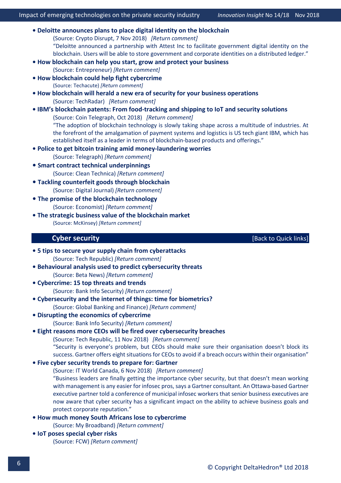**• [Deloitte announces plans to place digital identity on the blockchain](https://cryptodisrupt.com/deloitte-announces-plans-to-place-digital-identity-on-the-blockchain/)** (Source: Crypto Disrupt, 7 Nov 2018) *[\[Return comment\]](mailto:info@deltahedron.co.uk?subject=Comment%20on:%20Deloitte%20announces%20plans%20to%20place%20digital%20identity%20on%20the%20blockchain)* "Deloitte announced a partnership with Attest Inc to facilitate government digital identity on the blockchain. Users will be able to store government and corporate identities on a distributed ledger." **[• How blockchain can help you start, grow and protect your business](https://www.entrepreneur.com/article/319934)** (Source: Entrepreneur) *[\[Return comment\]](mailto:info@deltahedron.co.uk?subject=Comment%20on:%20How%20blockchain%20can%20help%20you%20start,%20grow%20and%20protect%20your%20business)* **• [How blockchain could help fight cybercrime](https://techacute.com/how-blockchain-could-help-fight-cybercrime/)**  (Source: Techacute) *[\[Return comment\]](mailto:info@deltahedron.co.uk?subject=Comment%20on:%20How%20blockchain%20could%20help%20fight%20cybercrime%20)* **• [How blockchain will herald a new era of security for your business operations](https://www.techradar.com/news/how-blockchain-will-herald-a-new-era-of-security-for-your-business-operations)**  (Source: TechRadar) *[\[Return comment\]](mailto:info@deltahedron.co.uk?subject=Comment%20on:%20How%20blockchain%20will%20herald%20a%20new%20era%20of%20security%20for%20your%20business%20operations)* **• IBM's blockchain patents: From food[-tracking and shipping to IoT and security solutions](https://cointelegraph.com/news/ibms-blockchain-patents-from-food-tracking-and-shipping-to-iot-and-security-solutions)** (Source: Coin Telegraph, Oct 2018) *[\[Return comment\]](mailto:info@deltahedron.co.uk?subject=Comment%20on:%20IBM%E2%80%99s%20blockchain%20patents:%20From%20food-tracking%20and%20shipping%20to%20IoT%20and%20security%20solutions)* "The adoption of blockchain technology is slowly taking shape across a multitude of industries. At the forefront of the amalgamation of payment systems and logistics is US tech giant IBM, which has established itself as a leader in terms of blockchain-based products and offerings." **[• Police to get bitcoin training amid money](https://www.telegraph.co.uk/business/2018/07/21/police-get-bitcoin-training-amid-money-laundering-worries/)-laundering worries** (Source: Telegraph) *[\[Return comment\]](mailto:info@deltahedron.co.uk?subject=Comment%20on:%20Police%20to%20get%20bitcoin%20training%20amid%20money-laundering%20worries)* **• [Smart contract technical underpinnings](https://cleantechnica.com/2018/10/07/smart-contract-technical-underpinnings-blockchain-report-excerpt/)** (Source: Clean Technica) *[\[Return comment\]](mailto:info@deltahedron.co.uk?subject=Comment%20on:%20Smart%20contract%20technical%20underpinnings%20(blockchain%20report%20excerpt)%20)* **• [Tackling counterfeit goods through blockchain](http://www.digitaljournal.com/business/tackling-counterfeit-goods-through-blockchain-q-a/article/530234)** (Source: Digital Journal) *[\[Return comment\]](mailto:info@deltahedron.co.uk?subject=Comment%20on:%20Tackling%20counterfeit%20goods%20through%20blockchain:%20q&a%20(includes%20interview))* **• [The promise of the blockchain technology](https://www.economist.com/technology-quarterly/2018/09/01/the-promise-of-the-blockchain-technology?utm_campaign=DistLedger3%28PdzENz%29&utm_medium=email&_ke=eyJrbF9lbWFpbCI6ICJpbmZvQGRlbHRhaGVkcm9uLmNvLnVrIiwgImtsX2NvbXBhbnlfaWQiOiAialM0OTdHIn0%3D&utm_source=DistributedLedger%E2%80%9D017)** (Source: Economist) *[\[Return comment\]](mailto:info@deltahedron.co.uk?subject=Comment%20on:%20The%20promise%20of%20the%20blockchain%20technology%20)* **[• The strategic business value of the blockchain market](https://www.mckinsey.com/business-functions/digital-mckinsey/our-insights/blockchain-beyond-the-hype-what-is-the-strategic-business-value)**  (Source: McKinsey) *[\[Return comment\]](mailto:info@deltahedron.co.uk?subject=Comment%20on:%20The%20strategic%20business%20value%20of%20the%20blockchain%20market%20)*

**Cyber security Cyber security Cyber security Cyber security Cyber security Cyber security Cyber security** 

- <span id="page-7-0"></span>**[• 5 tips to secure your supply chain from cyberattacks](https://www.techrepublic.com/article/5-tips-to-secure-your-supply-chain-from-cyberattacks/?ftag=TREe01923b&bhid=27427167040507251715851572023239)**  (Source: Tech Republic) *[\[Return comment\]](mailto:info@deltahedron.co.uk?subject=Comment%20on:%205%20tips%20to%20secure%20your%20supply%20chain%20from%20cyberattacks%20)*
- **Behavioural analysis used [to predict cybersecurity threats](https://betanews.com/2018/10/02/behavioral-prediction-cybersecurity/)** (Source: Beta News) *[\[Return comment\]](mailto:info@deltahedron.co.uk?subject=Comment%20on:%20Behavioral%20analysis%20used%20to%20predict%20cybersecurity%20threats)*
- **[Cybercrime: 15 top threats and trends](https://www.bankinfosecurity.com/cybercrime-trends-hackers-still-prefer-bitcoin-a-11522)**  (Source: Bank Info Security) *[\[Return comment\]](mailto:info@deltahedron.co.uk?subject=Comment%20on:%20Cybercrime:%2015%20top%20threats%20and%20trends%20)*
- **[Cybersecurity and the internet of things: time for biometrics?](https://www.globalbankingandfinance.com/cybersecurity-and-the-internet-of-things-time-for-biometrics/)** (Source: Global Banking and Finance) *[\[Return comment\]](mailto:info@deltahedron.co.uk?subject=Comment%20on:%20Cybersecurity%20and%20the%20internet%20of%20things:%20time%20for%20biometrics?)*
- **[Disrupting the economics of cybercrime](https://www.bankinfosecurity.com/blogs/disrupting-economics-cybercrime-p-2652)**  (Source: Bank Info Security) *[\[Return comment\]](mailto:info@deltahedron.co.uk?subject=Comment%20on:%20Disrupting%20the%20economics%20of%20cybercrime%20)*
- **[Eight reasons more CEOs will be fired over cybersecurity breaches](https://www.techrepublic.com/article/eight-reasons-more-ceos-will-be-fired-over-cybersecurity-breaches/?bhid=27422036896811589305410055111452&ftag=TRE-03-10aaa6b&ftag=TRE-03-10aaa6b)**

(Source: Tech Republic, 11 Nov 2018) *[\[Return comment\]](mailto:info@deltahedron.co.uk?subject=Comment%20on:%20Eight%20reasons%20more%20CEOs%20will%20be%20fired%20over%20cybersecurity%20breaches)* "Security is everyone's problem, but CEOs should make sure their organisation doesn't block its success. Gartner offers eight situations for CEOs to avoid if a breach occurs within their organisation"

- **• [Five cyber security trends to prepare for: Gartner](https://www.itworldcanada.com/article/five-cyber-security-trends-to-prepare-for-gartner/411448)**
	- (Source: IT World Canada, 6 Nov 2018) *[\[Return comment\]](mailto:info@deltahedron.co.uk?subject=Comment%20on:%20Five%20cyber%20security%20trends%20to%20prepare%20for:%20Gartner)* "Business leaders are finally getting the importance cyber security, but that doesn't mean working with management is any easier for infosec pros, says a Gartner consultant. An Ottawa-based Gartner executive partner told a conference of municipal infosec workers that senior business executives are now aware that cyber security has a significant impact on the ability to achieve business goals and protect corporate reputation."
- **[How much money South Africans lose to cybercrime](https://mybroadband.co.za/news/banking/278391-how-much-money-south-africans-lose-to-cybercrime.html)** (Source: My Broadband) *[\[Return comment\]](mailto:info@deltahedron.co.uk?subject=Comment%20on:%20How%20much%20money%20south%20africans%20lose%20to%20cybercrime)*

**[• IoT poses special cyber risks](https://fcw.com/articles/2018/10/04/iot-nist-cyber-leonard.aspx)**  (Source: FCW) *[\[Return comment\]](mailto:info@deltahedron.co.uk?subject=Comment%20on:%20Iot%20poses%20special%20cyber%20risks%20)*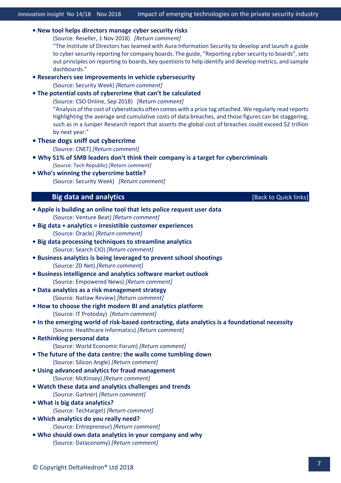**• [New tool helps directors manage cyber security risks](https://www.reseller.co.nz/article/649038/new-tool-helps-directors-manage-cyber-security-risks/)**

(Source: Reseller, 1 Nov 2018) *[\[Return comment\]](mailto:info@deltahedron.co.uk?subject=Comment%20on:%20New%20tool%20helps%20directors%20manage%20cyber%20security%20risks)*

"The Institute of Directors has teamed with Aura Information Security to develop and launch a guide to cyber security reporting for company boards. The guide, "Reporting cyber security to boards", sets out principles on reporting to boards, key questions to help identify and develop metrics, and sample dashboards."

**• Res[earchers see improvements in vehicle cybersecurity](https://www.securityweek.com/researchers-see-improvements-vehicle-cybersecurity)** 

(Source: Security Week) *[\[Return comment\]](mailto:info@deltahedron.co.uk?subject=Comment%20on:%20Researchers%20see%20improvements%20in%20vehicle%20cybersecurity%20)*

**• [The potential costs of cybercrime that can't be calculated](https://www.csoonline.com/article/3308777/budget/the-potential-costs-of-cybercrime-that-cant-be-calculated.html)**

(Source: CSO Online, Sep 2018) *[\[Return comment\]](mailto:info@deltahedron.co.uk?subject=Comment%20on:%20The%20potential%20costs%20of%20cybercrime%20that%20can%E2%80%99t%20be%20calculated)*

"Analysis of the cost of cyberattacks often comes with a price tag attached. We regularly read reports highlighting the average and cumulative costs of data breaches, and those figures can be staggering, such as in a Juniper Research report that asserts the global cost of breaches could exceed \$2 trillion by next year."

**[• These dogs sniff out cybercrime](https://www.cnet.com/news/these-dogs-sniff-out-cybercrime/)** 

(Source: CNET) *[\[Return comment\]](mailto:info@deltahedron.co.uk?subject=Comment%20on:%20These%20dogs%20sniff%20out%20cybercrime%20)*

- **[Why 51% of SMB leaders don't think their company is a target for cyber](https://www.techrepublic.com/article/why-51-of-smb-leaders-dont-think-their-company-is-a-target-for-cybercriminals/?ftag=TREa988f1c&bhid=27427167040507251715851572023239)criminals** (Source: Tech Republic) *[\[Return comment\]](mailto:info@deltahedron.co.uk?subject=Comment%20on:%20Why%2051%25%20of%20smb%20leaders%20don)*
- <span id="page-8-0"></span>**• [Who's winning the cybercrime battle?](https://www.securityweek.com/whos-winning-cybercrime-battle)**  (Source: Security Week) *[\[Return comment\]](mailto:info@deltahedron.co.uk?subject=Comment%20on:%20Who)*

### **Big data and analytics Example 2018 EXECUTE:** [\[Back to Quick links\]](#page-2-0)

| • Apple is building an online tool that lets police request user data                         |
|-----------------------------------------------------------------------------------------------|
| (Source: Venture Beat) [Return comment]                                                       |
| · Big data + analytics = irresistible customer experiences                                    |
| (Source: Oracle) [Return comment]                                                             |
| • Big data processing techniques to streamline analytics                                      |
| (Source: Search CIO) [Return comment]                                                         |
| <b>.</b> Business analytics is being leveraged to prevent school shootings                    |
| (Source: ZD Net) [Return comment]                                                             |
| <b>.</b> Business intelligence and analytics software market outlook                          |
| (Source: Empowered News) [Return comment]                                                     |
| · Data analytics as a risk management strategy                                                |
| (Source: Natlaw Review) [Return comment]                                                      |
| . How to choose the right modern BI and analytics platform                                    |
| (Source: IT Protoday) [Return comment]                                                        |
| . In the emerging world of risk-based contracting, data analytics is a foundational necessity |
| (Source: Healthcare Informatics) [Return comment]<br>• Rethinking personal data               |
| (Source: World Economic Forum) [Return comment]                                               |
| • The future of the data centre: the walls come tumbling down                                 |
| (Source: Silicon Angle) [Return comment]                                                      |
| . Using advanced analytics for fraud management                                               |
| (Source: McKinsey) [Return comment]                                                           |
| . Watch these data and analytics challenges and trends                                        |
| (Source: Gartner) [Return comment]                                                            |
| . What is big data analytics?                                                                 |
| (Source: Techtarget) [Return comment]                                                         |
| . Which analytics do you really need?                                                         |
| (Source: Entrepreneur) [Return comment]                                                       |
| . Who should own data analytics in your company and why                                       |
| (Source: Dataconomy) [Return comment]                                                         |
|                                                                                               |
|                                                                                               |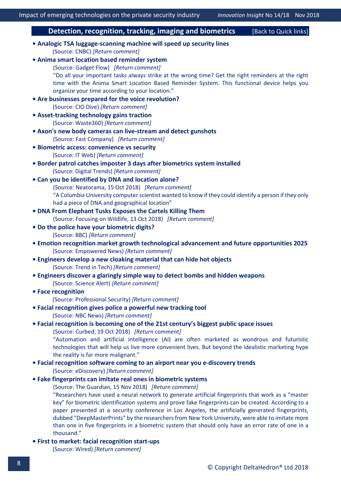#### **Detection, recognition, tracking, imaging and biometrics** [\[Back to Quick links\]](#page-2-0)

#### <span id="page-9-0"></span>**• Analogic TSA luggage[-scanning machine will speed up security lines](https://www.cnbc.com/2018/09/14/analogic-is-using-medical-imaging-tech-to-speed-up-airport-security.html)** (Source: CNBC) *[\[Return comment\]](mailto:info@deltahedron.co.uk?subject=Comment%20on:%20Analogic%20tsa%20luggage-scanning%20machine%20will%20speed%20up%20security%20lines)*

**• [Anima smart location based reminder system](https://thegadgetflow.com/portfolio/location-based-reminder-system/)** (Source: Gadget Flow) *[\[Return comment\]](mailto:info@deltahedron.co.uk?subject=Comment%20on:%20Anima%20smart%20location%20based%20reminder%20system)* "Do all your important tasks always strike at the wrong time? Get the right reminders at the right time with the Anima Smart Location Based Reminder System. This functional device helps you organize your time according to your location." **[• Are businesses prepared for the voice revolution?](https://www.ciodive.com/news/are-businesses-prepared-for-the-voice-revolution/539100/)**  (Source: CIO Dive) *[\[Return comment\]](mailto:info@deltahedron.co.uk?subject=Comment%20on:%20Are%20businesses%20prepared%20for%20the%20voice%20revolution?%20)* **• Asset[-tracking technology gains traction](https://www.waste360.com/fleets-technology/asset-tracking-technology-gains-traction)**  (Source: Waste360) *[\[Return comment\]](mailto:info@deltahedron.co.uk?subject=Comment%20on:%20Asset-tracking%20technology%20gains%20traction%20)* **• [Axon's new body cameras can live](https://www.fastcompany.com/90247228/axon-new-body-cameras-will-live-stream-police-encounters?utm_source=postup&utm_medium=email&utm_campaign=Fast%20Company%20Daily&position=4&partner=newsletter&campaign_date=10092018)-stream and detect gunshots** (Source: Fast Company) *[\[Return comment\]](mailto:info@deltahedron.co.uk?subject=Comment%20on:%20Axon)* **[• Biometric access: convenience vs security](https://www.itweb.co.za/content/xA9PO7NYJ4Jvo4J8)**  (Source: IT Web) *[\[Return comment\]](mailto:info@deltahedron.co.uk?subject=Comment%20on:%20Biometric%20access:%20convenience%20vs%20security%20)* **[• Border patrol catches imposter 3 days after biometrics system installed](https://www.digitaltrends.com/business/biometrics-flags0man-with-fake-passport-dulles/?utm_source=sendgrid&utm_medium=email&utm_campaign=weekly-brief)**  (Source: Digital Trends) *[\[Return comment\]](mailto:info@deltahedron.co.uk?subject=Comment%20on:%20Border%20patrol%20catches%20imposter%203%20days%20after%20biometrics%20system%20installed%20)* **• [Can you be identified by DNA and location alone?](https://www.neatorama.com/2018/10/15/Can-You-Be-Identified-by-DNA-and-Location-Alone/)** (Source: Neatorama, 15 Oct 2018) *[\[Return comment\]](mailto:info@deltahedron.co.uk?subject=Comment%20on:%20Can%20you%20be%20identified%20by%20dna%20and%20location%20alone?)* "A Columbia University computer scientist wanted to know if they could identify a person if they only had a piece of DNA and geographical location" **• [DNA From Elephant Tusks Exposes the Cartels Killing Them](https://news360.com/article/473769471)** (Source: Focusing on Wildlife, 13 Oct 2018) *[\[Return comment\]](mailto:info@deltahedron.co.uk?subject=Comment%20on:%20DNA%20from%20elephant%20tusks%20exposes%20the%20cartels%20killing%20them)* **[• Do the police have your biometric digits?](https://www.bbc.co.uk/news/technology-45604288)**  (Source: BBC) *[\[Return comment\]](mailto:info@deltahedron.co.uk?subject=Comment%20on:%20Tech%20tent:%20do%20the%20police%20have%20your%20biometric%20digits?%20)* **[• Emotion recognition market growth technological advancement and future opportunities 2025](https://empowerednews.net/emotion-recognition-market-growth-technological-advancement-and-future-opportunities-2025-microsoft-ibm-qemotion-aylien-moodpatrol-indico/181324826/)** (Source: Empowered News) *[\[Return comment\]](mailto:info@deltahedron.co.uk?subject=Comment%20on:%20Emotion%20recognition%20market%20growth%20technological%20advancement%20and%20future%20opportunities%202025%20:%20microsoft,%20ibm,%20qemotion,%20aylien,%20moodpatrol,%20indico)* **[• Engineers develop a new cloaking material that can hide hot objects](http://trendintech.com/2018/07/03/engineers-develop-a-new-cloaking-material-that-can-hide-hot-objects/)** (Source: Trend in Tech) *[\[Return comment\]](mailto:info@deltahedron.co.uk?subject=Comment%20on:%20Engineers%20develop%20a%20new%20cloaking%20material%20that%20can%20hide%20hot%20objects)* **[• Engineers discover a glaringly simple way to detect bombs and hidden weapons](https://www.sciencealert.com/engineers-discover-an-embarrassingly-simple-way-to-detect-bombs-and-hidden-weapons)** (Source: Science Alert) *[\[Return comment\]](mailto:info@deltahedron.co.uk?subject=Comment%20on:%20Engineers%20discover%20a%20glaringly%20simple%20way%20to%20detect%20bombs%20and%20hidden%20weapons)* **[• Face recognition](https://www.professionalsecurity.co.uk/products/biometrics/face-recognition-and-the-law/)** (Source: Professional Security) *[\[Return comment\]](mailto:info@deltahedron.co.uk?subject=Comment%20on:%20Face%20recognition)* **[• Facial recognition gives police a powerful new tracking tool](https://www.nbcnews.com/news/us-news/facial-recognition-gives-police-powerful-new-tracking-tool-it-s-n894936)** (Source: NBC News) *[\[Return comment\]](mailto:info@deltahedron.co.uk?subject=Comment%20on:%20Facial%20recognition%20gives%20police%20a%20powerful%20new%20tracking%20tool.%20it)* **• [Facial recognition is becoming one of the 21st century's biggest public space issues](https://www.curbed.com/2018/10/19/17989368/facial-recognition-public-space-ai-now)** (Source: Curbed, 19 Oct 2018) *[\[Return comment\]](mailto:info@deltahedron.co.uk?subject=Comment%20on:%20Facial%20recognition%20is%20becoming%20one%20of%20the%2021st%20century%E2%80%99s%20biggest%20public%20space%20issues)* "Automation and artificial intelligence (AI) are often marketed as wondrous and futuristic technologies that will help us live more convenient lives. But beyond the idealistic marketing hype the reality is far more malignant." **[• Facial recognition software coming to an airport near you e](https://ediscovery.co/ediscoverydaily/electronic-discovery/facial-recognition-software-coming-to-an-airport-near-you-ediscovery-trends/)-discovery trends** (Source: eDiscovery) *[\[Return comment\]](mailto:info@deltahedron.co.uk?subject=Comment%20on:%20Facial%20recognition%20software%20coming%20to%20an%20airport%20near%20you%20ediscovery%20trends)* **• [Fake fingerprints can imitate real ones in biometric systems](https://www.theguardian.com/technology/2018/nov/15/fake-fingerprints-can-imitate-real-fingerprints-in-biometric-systems-research)** (Source: The Guardian, 15 Nov 2018) *[\[Return comment\]](mailto:info@deltahedron.co.uk?subject=Comment%20on:%20Fake%20fingerprints%20can%20imitate%20real%20ones%20in%20biometric%20systems)* "Researchers have used a neural network to generate artificial fingerprints that work as a "master key" for biometric identification systems and prove fake fingerprints can be created. According to a

paper presented at a security conference in Los Angeles, the artificially generated fingerprints, dubbed "DeepMasterPrints" by the researchers from New York University, were able to imitate more than one in five fingerprints in a biometric system that should only have an error rate of one in a thousand."

**[• First to market: facial recognition](https://www.wired.com/story/wired25-facial-recognition-startups-first-to-market/?CNDID=51436859&mbid=nl_100618_daily_list3_p2) start-ups**

(Source: Wired) *[\[Return comment\]](mailto:info@deltahedron.co.uk?subject=Comment%20on:%20First%20to%20market:%20facial%20recognition%20startups%20)*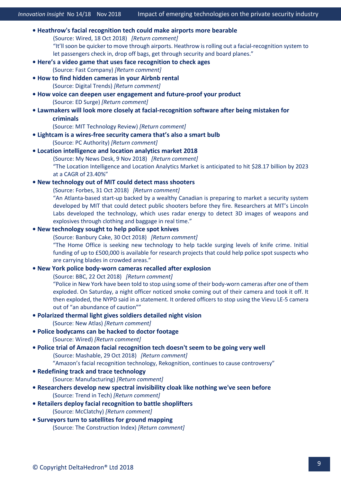| • Heathrow's facial recognition tech could make airports more bearable                                  |
|---------------------------------------------------------------------------------------------------------|
| (Source: Wired, 18 Oct 2018) [Return comment]                                                           |
| "It'll soon be quicker to move through airports. Heathrow is rolling out a facial-recognition system to |
| let passengers check in, drop off bags, get through security and board planes."                         |
| . Here's a video game that uses face recognition to check ages                                          |
| (Source: Fast Company) [Return comment]                                                                 |
| . How to find hidden cameras in your Airbnb rental                                                      |
| (Source: Digital Trends) [Return comment]                                                               |
| . How voice can deepen user engagement and future-proof your product                                    |
| (Source: ED Surge) [Return comment]                                                                     |
| • Lawmakers will look more closely at facial-recognition software after being mistaken for              |
| criminals                                                                                               |
| (Source: MIT Technology Review) [Return comment]                                                        |
| • Lightcam is a wires-free security camera that's also a smart bulb                                     |
| (Source: PC Authority) [Return comment]                                                                 |
| • Location intelligence and location analytics market 2018                                              |
| (Source: My News Desk, 9 Nov 2018) [Return comment]                                                     |
| "The Location Intelligence and Location Analytics Market is anticipated to hit \$28.17 billion by 2023  |
| at a CAGR of 23.40%"                                                                                    |
| . New technology out of MIT could detect mass shooters                                                  |
| (Source: Forbes, 31 Oct 2018) [Return comment]                                                          |
| "An Atlanta-based start-up backed by a wealthy Canadian is preparing to market a security system        |
| developed by MIT that could detect public shooters before they fire. Researchers at MIT's Lincoln       |
| Labs developed the technology, which uses radar energy to detect 3D images of weapons and               |
| explosives through clothing and baggage in real time."                                                  |
| . New technology sought to help police spot knives                                                      |
| (Source: Banbury Cake, 30 Oct 2018) [Return comment]                                                    |
| "The Home Office is seeking new technology to help tackle surging levels of knife crime. Initial        |
| funding of up to £500,000 is available for research projects that could help police spot suspects who   |
| are carrying blades in crowded areas."                                                                  |
| . New York police body-worn cameras recalled after explosion                                            |
| (Source: BBC, 22 Oct 2018) [Return comment]                                                             |
| "Police in New York have been told to stop using some of their body-worn cameras after one of them      |
| exploded. On Saturday, a night officer noticed smoke coming out of their camera and took it off. It     |
| then exploded, the NYPD said in a statement. It ordered officers to stop using the Vievu LE-5 camera    |
| out of "an abundance of caution""                                                                       |
| . Polarized thermal light gives soldiers detailed night vision                                          |
| (Source: New Atlas) [Return comment]                                                                    |
| . Police bodycams can be hacked to doctor footage                                                       |
| (Source: Wired) [Return comment]                                                                        |
| . Police trial of Amazon facial recognition tech doesn't seem to be going very well                     |
| (Source: Mashable, 29 Oct 2018) [Return comment]                                                        |
| "Amazon's facial recognition technology, Rekognition, continues to cause controversy"                   |
| • Redefining track and trace technology                                                                 |
| (Source: Manufacturing) [Return comment]                                                                |
| . Researchers develop new spectral invisibility cloak like nothing we've seen before                    |
| (Source: Trend in Tech) [Return comment]                                                                |
| • Retailers deploy facial recognition to battle shoplifters                                             |
| (Source: McClatchy) [Return comment]                                                                    |
| • Surveyors turn to satellites for ground mapping                                                       |
| (Source: The Construction Index) [Return comment]                                                       |
|                                                                                                         |
|                                                                                                         |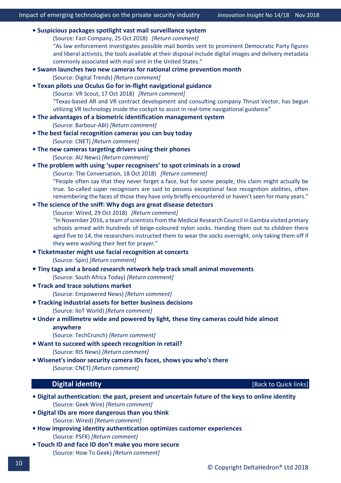| · Suspicious packages spotlight vast mail surveillance system                                                                                                |  |  |  |  |
|--------------------------------------------------------------------------------------------------------------------------------------------------------------|--|--|--|--|
| (Source: Fast Company, 25 Oct 2018) [Return comment]                                                                                                         |  |  |  |  |
| "As law enforcement investigates possible mail bombs sent to prominent Democratic Party figures                                                              |  |  |  |  |
| and liberal activists, the tools available at their disposal include digital images and delivery metadata                                                    |  |  |  |  |
| commonly associated with mail sent in the United States."                                                                                                    |  |  |  |  |
| • Swann launches two new cameras for national crime prevention month                                                                                         |  |  |  |  |
| (Source: Digital Trends) [Return comment]                                                                                                                    |  |  |  |  |
| . Texan pilots use Oculus Go for in-flight navigational guidance                                                                                             |  |  |  |  |
| (Source: VR Scout, 17 Oct 2018) [Return comment]                                                                                                             |  |  |  |  |
| "Texas-based AR and VR contract development and consulting company Thrust Vector, has begun                                                                  |  |  |  |  |
| utilizing VR technology inside the cockpit to assist in real-time navigational guidance"<br>• The advantages of a biometric identification management system |  |  |  |  |
| (Source: Barbour-ABI) [Return comment]                                                                                                                       |  |  |  |  |
| . The best facial recognition cameras you can buy today                                                                                                      |  |  |  |  |
| (Source: CNET) [Return comment]                                                                                                                              |  |  |  |  |
| • The new cameras targeting drivers using their phones                                                                                                       |  |  |  |  |
| (Source: AU News) [Return comment]                                                                                                                           |  |  |  |  |
| • The problem with using 'super recognisers' to spot criminals in a crowd                                                                                    |  |  |  |  |
| (Source: The Conversation, 18 Oct 2018) [Return comment]                                                                                                     |  |  |  |  |
| "People often say that they never forget a face, but for some people, this claim might actually be                                                           |  |  |  |  |
| true. So-called super recognisers are said to possess exceptional face recognition abilities, often                                                          |  |  |  |  |
| remembering the faces of those they have only briefly encountered or haven't seen for many years."                                                           |  |  |  |  |
| . The science of the sniff: Why dogs are great disease detectors                                                                                             |  |  |  |  |
| (Source: Wired, 29 Oct 2018) [Return comment]                                                                                                                |  |  |  |  |
| "In November 2016, a team of scientists from the Medical Research Council in Gambia visited primary                                                          |  |  |  |  |
| schools armed with hundreds of beige-coloured nylon socks. Handing them out to children there                                                                |  |  |  |  |
| aged five to 14, the researchers instructed them to wear the socks overnight, only taking them off if                                                        |  |  |  |  |
| they were washing their feet for prayer."                                                                                                                    |  |  |  |  |
| • Ticketmaster might use facial recognition at concerts                                                                                                      |  |  |  |  |
| (Source: Spin) [Return comment]                                                                                                                              |  |  |  |  |
| • Tiny tags and a broad research network help track small animal movements                                                                                   |  |  |  |  |
| (Source: South Africa Today) [Return comment]                                                                                                                |  |  |  |  |
| • Track and trace solutions market                                                                                                                           |  |  |  |  |
| (Source: Empowered News) [Return comment]                                                                                                                    |  |  |  |  |
| • Tracking industrial assets for better business decisions                                                                                                   |  |  |  |  |
| (Source: IIoT World) [Return comment]                                                                                                                        |  |  |  |  |
| • Under a millimetre wide and powered by light, these tiny cameras could hide almost                                                                         |  |  |  |  |
| anywhere                                                                                                                                                     |  |  |  |  |
| (Source: TechCrunch) [Return comment]                                                                                                                        |  |  |  |  |
| . Want to succeed with speech recognition in retail?                                                                                                         |  |  |  |  |
| (Source: RIS News) [Return comment]                                                                                                                          |  |  |  |  |
| . Wisenet's indoor security camera IDs faces, shows you who's there                                                                                          |  |  |  |  |
| (Source: CNET) [Return comment]                                                                                                                              |  |  |  |  |
| <b>Digital identity</b><br>[Back to Quick links]                                                                                                             |  |  |  |  |

- <span id="page-11-0"></span>**[• Digital authentication: the past, present and uncertain future of the keys to online identity](https://www.geekwire.com/2018/digital-authentication-human-beings-history-trust/)** (Source: Geek Wire) *[\[Return comment\]](mailto:info@deltahedron.co.uk?subject=Comment%20on:%20Digital%20authentication:%20the%20past,%20present%20and%20uncertain%20future%20of%20the%20keys%20to%20online%20identity)*
- **[Digital IDs are more dangerous than you think](https://www.wired.com/story/digital-ids-are-more-dangerous-than-you-think/?CNDID=51436859&mbid=nl_093018_daily_list3_p1)**  (Source: Wired) *[\[Return comment\]](mailto:info@deltahedron.co.uk?subject=Comment%20on:%20Digital%20ids%20are%20more%20dangerous%20than%20you%20think%20)*
- **[How improving identity authentication optimizes customer experiences](https://www.psfk.com/2018/05/identity-authentication-customer-experience.html)** (Source: PSFK) *[\[Return comment\]](mailto:info@deltahedron.co.uk?subject=Comment%20on:%20How%20improving%20identity%20authentication%20optimizes%20customer%20experiences)*
- **[Touch ID and face ID don't make you more secure](https://www.howtogeek.com/368114/touch-id-and-face-id-dont-make-you-more-secure/)** (Source: How To Geek) *[\[Return comment\]](mailto:info@deltahedron.co.uk?subject=Comment%20on:%20Touch%20id%20and%20face%20id%20don%E2%80%99t%20make%20you%20more%20secure)*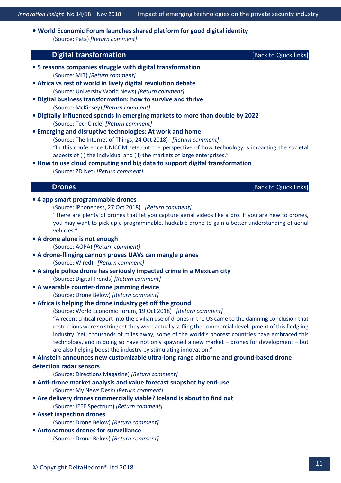<span id="page-12-0"></span>**• [World Economic Forum launches shared platform for good digital identity](https://www.pata.org/world-economic-forum-launches-shared-platform-for-good-digital-identity/)** (Source: Pata) *[\[Return comment\]](mailto:info@deltahedron.co.uk?subject=Comment%20on:%20World%20economic%20forum%20launches%20shared%20platform%20for%20good%20digital%20identity%20)*

#### **Digital transformation Example 20 Contract to Contract 20 <b>Contract 20 Contract 20** *Contract 10* **Contract 20 Contract 20** *Contract 10* **<b>Contract 20 Contract 20** Contract 20 **Contract 20** Contract 20 **Contract**

- **[5 reasons companies struggle with digital transformation](http://mitsloan.mit.edu/newsroom/articles/5-reasons-companies-struggle-with-digital-transformation/?utm_source=mitsloantwitter&utm_medium=social&utm_campaign=struggle)** (Source: MIT) *[\[Return comment\]](mailto:info@deltahedron.co.uk?subject=Comment%20on:%20Mitsloan.mit.edu/newsroom/articles/5-reasons-companies-struggle-with-digital-transformation/?utm_source=mitsloantwitter&utm_medium=social&utm_campaign=struggle)*
- **[Africa vs rest of world in lively digital revolution debate](http://www.universityworldnews.com/article.php?story=20181005150028189)**  (Source: University World News) *[\[Return comment\]](mailto:info@deltahedron.co.uk?subject=Comment%20on:%20Africa%20vs%20rest%20of%20world%20in%20lively%20digital%20revolution%20debate%20)*
- **[Digital business transformation: how to survive and thrive](https://www.mckinsey.com/business-functions/strategy-and-corporate-finance/our-insights/how-to-avoid-digital-strategy-pitfalls?cid=other-eml-alt-mip-mck-oth-1810&hlkid=79752b0ad5c44865a6ed79837586df2e&hctky=2879352&hdpid=f68959f4-6614-44ae-b132-2d72b4283e17)**  (Source: McKinsey) *[\[Return comment\]](mailto:info@deltahedron.co.uk?subject=Comment%20on:%20Digital%20business%20transformation:%20how%20to%20survive%20and%20thrive%20)*
- **Digitally i[nfluenced spends in emerging markets to more than double by 2022](https://techcircle.vccircle.com/2018/09/19/digitally-influenced-spends-in-emerging-markets-to-more-than-double-by-2022-bcg/)**  (Source: TechCircle) *[\[Return comment\]](mailto:info@deltahedron.co.uk?subject=Comment%20on:%20Digitally%20influenced%20spends%20in%20emerging%20markets%20to%20more%20than%20double%20by%202022:%20bcg%20)*
- **[Emerging and disruptive technologies: At work and home](https://www.theinternetofthings.eu/emerging-and-disruptive-technologies-work-and-home)** (Source: The Internet of Things, 24 Oct 2018) *[\[Return comment\]](mailto:info@deltahedron.co.uk?subject=Comment%20on:%20Emerging%20and%20disruptive%20technologies:%20At%20work%20and%20home)* "In this conference UNICOM sets out the perspective of how technology is impacting the societal aspects of (i) the individual and (ii) the markets of large enterprises."
- <span id="page-12-1"></span>**• How to use cloud com[puting and big data to support digital transformation](https://www.zdnet.com/article/how-to-use-cloud-computing-and-big-data-to-support-digital-transformation/?ftag=TRE-03-10aaa6b&bhid=27422036896811589305410055111452)**  (Source: ZD Net) *[\[Return comment\]](mailto:info@deltahedron.co.uk?subject=Comment%20on:%20How%20to%20use%20cloud%20computing%20and%20big%20data%20to%20support%20digital%20transformation%20)*

**Drones Contract Contract Contract Contract Contract Contract Contract Contract Contract Contract Contract Contract Contract Contract Contract Contract Contract Contract Contract Contract Contract Contract Contract Contr** 

#### **• [4 app smart programmable drones](https://www.iphoneness.com/cool-finds/top-bluetooth-programmable-drones/)**

(Source: iPhoneness, 27 Oct 2018) *[\[Return comment\]](mailto:info@deltahedron.co.uk?subject=Comment%20on:%204%20app%20smart%20programmable%20drones)*

"There are plenty of drones that let you capture aerial videos like a pro. If you are new to drones, you may want to pick up a programmable, hackable drone to gain a better understanding of aerial vehicles."

- **[A drone alone is not enough](https://www.aopa.org/news-and-media/all-news/2018/october/01/a-drone-alone-is-not-enough)**  (Source: AOPA) *[\[Return comment\]](mailto:info@deltahedron.co.uk?subject=Comment%20on:%20A%20drone%20alone%20is%20not%20enough%20)*
- **[A drone-flinging cannon proves UAVs can mangle planes](https://www.wired.com/story/drone-plane-collision-damage-study/?CNDID=51436859&CNDID=51436859&mbid=nl_101318_daily_list3_p2&utm_brand=wired&utm_mailing=WIRED%20NL%20101318%20(1)&utm_medium=email&utm_source=nl)**  (Source: Wired) *[\[Return comment\]](mailto:info@deltahedron.co.uk?subject=Comment%20on:%20%20a%20drone-flinging%20cannon%20proves%20uavs%20can%20mangle%20planes)*
- **[A single police drone has seriously impacted crime in a Mexican city](https://www.digitaltrends.com/cool-tech/police-drone-mexican-city/)**  (Source: Digital Trends) *[\[Return comment\]](mailto:info@deltahedron.co.uk?subject=Comment%20on:%20A%20single%20police%20drone%20has%20seriously%20impacted%20crime%20in%20a%20mexican%20city%20)*
- **A wearable counter[-drone jamming device](https://dronebelow.com/2018/08/20/Wearable-Counter-Drone-Jamming-Device)**

(Source: Drone Below) *[\[Return comment\]](mailto:info@deltahedron.co.uk?subject=Comment%20on:%20A%20wearable%20counter-drone%20jamming%20device%20)*

**• [Africa is helping the drone industry get off the ground](https://www.weforum.org/agenda/2018/10/drones-for-development-can-deliver-innovation-for-the-whole-industry-heres-how/)** 

(Source: World Economic Forum, 19 Oct 2018) *[\[Return comment\]](mailto:info@deltahedron.co.uk?subject=Comment%20on:%20Africa%20is%20helping%20the%20drone%20industry%20get%20off%20the%20ground.%20Here%E2%80%99s%20how)*

"A recent critical report into the civilian use of drones in the US came to the damning conclusion that restrictions were so stringent they were actually stifling the commercial development of this fledgling industry. Yet, thousands of miles away, some of the world's poorest countries have embraced this technology, and in doing so have not only spawned a new market – drones for development – but are also helping boost the industry by stimulating innovation."

#### **• Ainstein announces new customizable ultra[-long range airborne and ground-based drone](https://www.directionsmag.com/pressrelease/8140)  [detection radar sensors](https://www.directionsmag.com/pressrelease/8140)**

(Source: Directions Magazine) *[\[Return comment\]](mailto:info@deltahedron.co.uk?subject=Comment%20on:%20Ainstein%20announces%20new%20customizable%20ultra%20long%20range%20airborne%20and%20ground-based%20drone%20detection%20radar%20sensors%20at%20commercial%20uav%20expo)*

- **Anti[-drone market analysis and value forecast snapshot by end-use](http://www.mynewsdesk.com/us/pressreleases/anti-drone-market-analysis-and-value-forecast-snapshot-by-end-use-industry-2017-2023-2720418)** (Source: My News Desk) *[\[Return comment\]](mailto:info@deltahedron.co.uk?subject=Comment%20on:%20Anti-drone%20market%20analysis%20and%20value%20forecast%20snapshot%20by%20end-use...%20)*
- **[Are delivery drones commercially viable? Iceland is about to find out](https://spectrum.ieee.org/robotics/drones/are-delivery-drones-commercially-viable-iceland-is-about-to-find-out)**  (Source: IEEE Spectrum) *[\[Return comment\]](mailto:info@deltahedron.co.uk?subject=Comment%20on:%20Are%20delivery%20drones%20commercially%20viable?%20iceland%20is%20about%20to%20find%20out%20)*
- **[Asset inspection drones](https://dronebelow.com/drones-and-asset-inspection/)** 
	- (Source: Drone Below) *[\[Return comment\]](mailto:info@deltahedron.co.uk?subject=Comment%20on:%20Asset%20inspection%20drones%20)*
- **[Autonomous drones for surveillance](https://dronebelow.com/2018/09/19/autonomous-drones-for-surveillance/)**  (Source: Drone Below) *[\[Return comment\]](mailto:info@deltahedron.co.uk?subject=Comment%20on:%20Autonomous%20drones%20for%20surveillance%20)*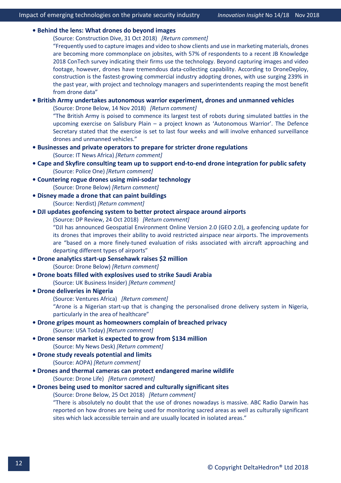#### **• [Behind the lens: What drones do beyond images](https://www.constructiondive.com/news/behind-the-lens-what-drones-do-beyond-images/541090/)**

(Source: Construction Dive, 31 Oct 2018) *[\[Return comment\]](mailto:info@deltahedron.co.uk?subject=Comment%20on:%20Behind%20the%20lens:%20What%20drones%20do%20beyond%20images)*

"Frequently used to capture images and video to show clients and use in marketing materials, drones are becoming more commonplace on jobsites, with 57% of respondents to a recent JB Knowledge 2018 ConTech survey indicating their firms use the technology. Beyond capturing images and video footage, however, drones have tremendous data-collecting capability. According to DroneDeploy, construction is the fastest-growing commercial industry adopting drones, with use surging 239% in the past year, with project and technology managers and superintendents reaping the most benefit from drone data"

#### **• [British Army undertakes autonomous warrior experiment, drones and unmanned vehicles](https://dronebelow.com/2018/11/14/british-army-undertakes-autonomous-warrior-experiment-drones-and-unmanned-vehicles/)**

(Source: Drone Below, 14 Nov 2018) *[\[Return comment\]](mailto:info@deltahedron.co.uk?subject=Comment%20on:%20British%20army%20undertakes%20autonomous%20warrior%20experiment,%20drones%20and%20unmanned%20vehicles)*

"The British Army is poised to commence its largest test of robots during simulated battles in the upcoming exercise on Salisbury Plain – a project known as 'Autonomous Warrior'. The Defence Secretary stated that the exercise is set to last four weeks and will involve enhanced surveillance drones and unmanned vehicles."

- **[Businesses and private operators to prepare for stricter drone regulations](http://www.itnewsafrica.com/2018/09/businesses-and-private-operators-to-prepare-for-stricter-drone-regulations/)**  (Source: IT News Africa) *[\[Return comment\]](mailto:info@deltahedron.co.uk?subject=Comment%20on:%20Businesses%20and%20private%20operators%20to%20prepare%20for%20stricter%20drone%20regulations%20)*
- **[Cape and Skyfire consulting team up to support end](https://www.policeone.com/police-products/Police-Drones/press-releases/481335011-Cape-and-Skyfire-Consulting-team-up-to-support-end-to-end-drone-integration-for-public-safety/)-to-end drone integration for public safety** (Source: Police One) *[\[Return comment\]](mailto:info@deltahedron.co.uk?subject=Comment%20on:%20Cape%20and%20skyfire%20consulting%20team%20up%20to%20support%20end-to-end%20drone%20integration%20for%20public%20safety)*
- **[Countering rogue drones using mini](https://dronebelow.com/2018/09/08/countering-rogue-drones-using-mini-sodar-technology/)-sodar technology**  (Source: Drone Below) *[\[Return comment\]](mailto:info@deltahedron.co.uk?subject=Comment%20on:%20Countering%20rogue%20drones%20using%20mini-sodar%20technology%20)*
- **[Disney made a drone that can paint buildings](https://nerdist.com/disney-drone-can-paint-buildings/)**  (Source: Nerdist) *[\[Return comment\]](mailto:info@deltahedron.co.uk?subject=Comment%20on:%20Disney%20made%20a%20drone%20that%20can%20paint%20buildings%20)*
- **[DJI updates geofencing system to better protect airspace around airports](https://www.dpreview.com/news/7557044156/dji-updates-geofencing-system-to-better-protect-airspace-around-airports)**

(Source: DP Review, 24 Oct 2018) *[\[Return comment\]](mailto:info@deltahedron.co.uk?subject=Comment%20on:%20Dji%20updates%20geofencing%20system%20to%20better%20protect%20airspace%20around%20airports)*

"DJI has announced Geospatial Environment Online Version 2.0 (GEO 2.0), a geofencing update for its drones that improves their ability to avoid restricted airspace near airports. The improvements are "based on a more finely-tuned evaluation of risks associated with aircraft approaching and departing different types of airports"

**• Drone analytics start-up [Sensehawk raises \\$2 million](https://dronebelow.com/2018/09/28/drone-analytics-startup-sensehawk-raises-2-million/)** 

(Source: Drone Below) *[\[Return comment\]](mailto:info@deltahedron.co.uk?subject=Comment%20on:%20Drone%20analytics%20startup%20sensehawk%20raises%20$2%20million%20)*

- **[Drone boats filled with explosives used to strike Saudi Arabia](http://uk.businessinsider.com/drone-boats-filled-with-explosives-houthis-saudi-arabia-2018-10?r=US&IR=T)** 
	- (Source: UK Business Insider) *[\[Return comment\]](mailto:info@deltahedron.co.uk?subject=Comment%20on:%20Drone%20boats%20filled%20with%20explosives%20used%20to%20strike%20saudi%20arabia%20)*
- **[Drone deliveries in Nigeria](http://venturesafrica.com/arone-the-startup-revolutionising-delivery-via-drones-in-nigeria/)**
	- (Source: Ventures Africa) *[\[Return comment\]](mailto:info@deltahedron.co.uk?subject=Comment%20on:%20Drone%20deliveries%20in%20Nigeria)*

"Arone is a Nigerian start-up that is changing the personalised drone delivery system in Nigeria, particularly in the area of healthcare"

- **[Drone gripes mount as homeowners complain of breached privac](https://eu.usatoday.com/story/tech/columnist/2018/09/03/drone-gripes-mount-homeowners-complain-breached-privacy-annoyance/1117085002/)y** (Source: USA Today) *[\[Return comment\]](mailto:info@deltahedron.co.uk?subject=Comment%20on:%20Drone%20gripes%20mount%20as%20homeowners%20complain%20of%20breached%20privacy)*
- **Drone sensor market is e[xpected to grow from \\$134 million](http://www.mynewsdesk.com/us/pressreleases/drone-sensor-market-is-expected-to-grow-from-usd-134-dot-01-million-in-2018-to-usd-157-dot-1-millionby-2023-at-a-cagr-of-plus-9-dot-48-percent-between-2018-and-2025-2730080)** (Source: My News Desk) *[\[Return comment\]](mailto:info@deltahedron.co.uk?subject=Comment%20on:%20Drone%20sensor%20market%20is%20expected%20to%20grow%20from%20usd%20134.01%20million%20in...%20)*
- **[Drone study reveals potential and limits](https://www.aopa.org/news-and-media/all-news/2018/october/01/drone-study-reveals-potential-and-limits)** (Source: AOPA) *[\[Return comment\]](mailto:info@deltahedron.co.uk?subject=Comment%20on:%20Drone%20study%20reveals%20potential%20and%20limits)*
- **[Drones and thermal cameras can protect endangered marine wildlife](https://dronelife.com/2018/10/11/drones-protect-dolphins/)**  (Source: Drone Life) *[\[Return comment\]](mailto:info@deltahedron.co.uk?subject=Comment%20on:%20%20study:%20Drones%20and%20thermal%20cameras%20can%20protect%20endangered%20marine%20wildlife)*
- **[Drones being used to monitor sacred and culturally significant sites](https://dronebelow.com/2018/10/25/drones-being-used-to-monitor-sacred-and-culturally-significant-sites/)**

(Source: Drone Below, 25 Oct 2018) *[\[Return comment\]](mailto:info@deltahedron.co.uk?subject=Comment%20on:%20Drones%20being%20used%20to%20monitor%20sacred%20and%20culturally%20significant%20sites)*

"There is absolutely no doubt that the use of drones nowadays is massive. ABC Radio Darwin has reported on how drones are being used for monitoring sacred areas as well as culturally significant sites which lack accessible terrain and are usually located in isolated areas."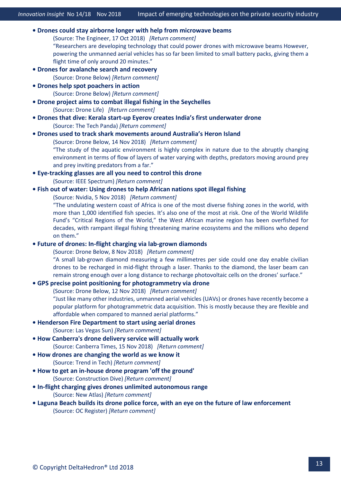**• [Drones could stay airborne longer with help from microwave beams](https://www.theengineer.co.uk/drones-microwave-beams/)**

(Source: The Engineer, 17 Oct 2018) *[\[Return comment\]](mailto:info@deltahedron.co.uk?subject=Comment%20on:%20Drones%20could%20stay%20airborne%20longer%20with%20help%20from%20microwave%20beams)* "Researchers are developing technology that could power drones with microwave beams However, powering the unmanned aerial vehicles has so far been limited to small battery packs, giving them a flight time of only around 20 minutes."

**• Drones for avalan[che search and recovery](https://dronebelow.com/2018/09/11/drones-for-avalanche-search-and-recovery/)** 

(Source: Drone Below) *[\[Return comment\]](mailto:info@deltahedron.co.uk?subject=Comment%20on:%20Drones%20for%20avalanche%20search%20and%20recovery%20)*

**[• Drones help spot poachers i](https://dronebelow.com/2018/09/19/drones-help-spot-poachers-in-action/)n action** 

(Source: Drone Below) *[\[Return comment\]](mailto:info@deltahedron.co.uk?subject=Comment%20on:%20Drones%20help%20spot%20poachers%20in%20action%20)*

- **[Drone project aims to combat illegal fishing in the Seychelles](https://dronelife.com/2018/08/20/drone-atlan-illegal-fishing-seychelles/)**  (Source: Drone Life) *[\[Return comment\]](mailto:info@deltahedron.co.uk?subject=Comment%20on:%20%20drone%20project%20aims%20to%20combat%20illegal%20fishing%20in%20the%20seychelles)*
- **Drones that dive: Kerala start-up [Eyerov creates India's first underwater drone](https://thetechpanda.com/2018/09/30/drones-that-dive-kerala-startup-eyerov-creates-indias-first-underwater-drone/)** (Source: The Tech Panda) *[\[Return comment\]](mailto:info@deltahedron.co.uk?subject=Comment%20on:%20Drones%20that%20dive:%20kerala%20startup%20eyerov%20creates%20india%E2%80%99s%20first%20underwater%20drone)*
- **[Drones used to track shark movements around Australia's Heron Island](https://dronebelow.com/2018/11/14/drones-used-to-track-shark-movements-around-australias-heron-island/)**

(Source: Drone Below, 14 Nov 2018) *[\[Return comment\]](mailto:info@deltahedron.co.uk?subject=Comment%20on:%20Drones%20used%20to%20track%20shark%20movements%20around%20Australia%E2%80%99s%20heron%20island)*

"The study of the aquatic environment is highly complex in nature due to the abruptly changing environment in terms of flow of layers of water varying with depths, predators moving around prey and prey inviting predators from a far."

- **Eye[-tracking glasses are all you need to control this drone](https://spectrum.ieee.org/automaton/robotics/drones/eye-tracking-glasses-are-all-you-need-to-control-this-drone)**  (Source: IEEE Spectrum) *[\[Return comment\]](mailto:info@deltahedron.co.uk?subject=Comment%20on:%20Eye-tracking%20glasses%20are%20all%20you%20need%20to%20control%20this%20drone%20)*
- **[Fish out of water: Using drones to help African nations spot illegal fishing](https://blogs.nvidia.com/blog/2018/11/05/drones-illegal-fishing/)**

(Source: Nvidia, 5 Nov 2018) *[\[Return comment\]](mailto:info@deltahedron.co.uk?subject=Comment%20on:%20Fish%20out%20of%20water:%20Using%20drones%20to%20help%20African%20nations%20spot%20illegal%20fishing)*

"The undulating western coast of Africa is one of the most diverse fishing zones in the world, with more than 1,000 identified fish species. It's also one of the most at risk. One of the World Wildlife Fund's "Critical Regions of the World," the West African marine region has been overfished for decades, with rampant illegal fishing threatening marine ecosystems and the millions who depend on them."

#### **• [Future of drones: In-flight charging via lab-grown diamonds](https://dronebelow.com/2018/11/08/future-of-drones-in-flight-charging-via-lab-grown-diamonds/)**

(Source: Drone Below, 8 Nov 2018) *[\[Return comment\]](mailto:info@deltahedron.co.uk?subject=Comment%20on:%20Future%20of%20drones:%20In-flight%20charging%20via%20lab-grown%20diamonds)*

"A small lab-grown diamond measuring a few millimetres per side could one day enable civilian drones to be recharged in mid-flight through a laser. Thanks to the diamond, the laser beam can remain strong enough over a long distance to recharge photovoltaic cells on the drones' surface."

#### **• [GPS precise point positioning for photogrammetry via drone](https://dronebelow.com/2018/11/12/gps-precise-point-positioning-for-photogrammetry-via-drone/)**

(Source: Drone Below, 12 Nov 2018) *[\[Return comment\]](mailto:info@deltahedron.co.uk?subject=Comment%20on:%20Gps%20precise%20point%20positioning%20for%20photogrammetry%20via%20drone)*

"Just like many other industries, unmanned aerial vehicles (UAVs) or drones have recently become a popular platform for photogrammetric data acquisition. This is mostly because they are flexible and affordable when compared to manned aerial platforms."

- **[Henderson Fire Department to start using aerial drones](https://lasvegassun.com/news/2018/oct/02/henderson-fire-department-to-start-using-aerial-dr/)**  (Source: Las Vegas Sun) *[\[Return comment\]](mailto:info@deltahedron.co.uk?subject=Comment%20on:%20Henderson%20fire%20department%20to%20start%20using%20aerial%20drones%20)*
- **• [How Canberra's drone delivery service will actually work](https://www.canberratimes.com.au/national/act/how-canberra-s-drone-delivery-service-will-actually-work-20181115-p50g4t.html)** (Source: Canberra Times, 15 Nov 2018) *[\[Return comment\]](mailto:info@deltahedron.co.uk?subject=Comment%20on:%20How%20canberra)*
- **How d[rones are changing the world as we know it](https://d.docs.live.net/3047860ba36d235f/DeltaHedron_OneDrive/Innovation%20Insight%20and%20Reports/Innovation%20Insight/2018-10-10_N0%205-18_Security_Fidelity%20ADT/%E2%80%A2%20How%20drones%20are%20changing%20the%20world%20as%20we%20know%20it)**  (Source: Trend in Tech) *[\[Return comment\]](mailto:info@deltahedron.co.uk?subject=Comment%20on:%20How%20drones%20are%20changing%20the%20world%20as%20we%20know%20it%20)*
- **How to get an in-[house drone program 'off the ground'](https://www.constructiondive.com/news/how-to-get-an-in-house-drone-program-off-the-ground/532523/)**  (Source: Construction Dive) *[\[Return comment\]](mailto:info@deltahedron.co.uk?subject=Comment%20on:%20How%20to%20get%20an%20in-house%20drone%20program%20)*
- **In[-flight charging gives drones unlimited autonomous range](https://newatlas.com/in-air-drone-charging-unlimited-range/56363/)** (Source: New Atlas) *[\[Return comment\]](mailto:info@deltahedron.co.uk?subject=Comment%20on:%20In-flight%20charging%20gives%20drones%20unlimited%20autonomous%20range)*
- **[Laguna Beach builds its drone police force, with an eye on the future of law enforcement](https://www.ocregister.com/2018/09/28/laguna-beach-builds-its-drone-police-force-with-an-eye-on-the-future-of-law-enforcement/)** (Source: OC Register) *[\[Return comment\]](mailto:info@deltahedron.co.uk?subject=Comment%20on:%20Laguna%20beach%20builds%20its%20drone%20police%20force,%20with%20an%20eye%20on%20the%20future%20of%20law%20enforcement)*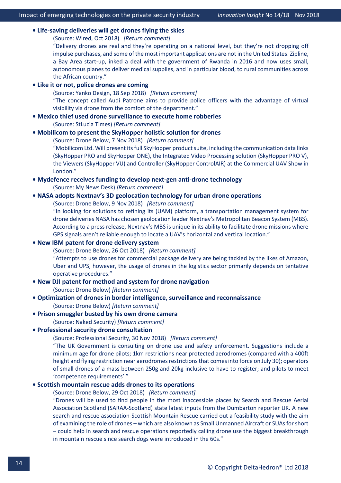#### **• [Life-saving deliveries will get drones flying the skies](https://www.wired.com/story/wired25-keller-rinaudo/)**

(Source: Wired, Oct 2018) *[\[Return comment\]](mailto:info@deltahedron.co.uk?subject=Comment%20on:%20Life-saving%20deliveries%20will%20get%20drones%20flying%20the%20skies)*

"Delivery drones are real and they're operating on a national level, but they're not dropping off impulse purchases, and some of the most important applications are not in the United States. Zipline, a Bay Area start-up, inked a deal with the government of Rwanda in 2016 and now uses small, autonomous planes to deliver medical supplies, and in particular blood, to rural communities across the African country."

#### **• [Like it or not, police drones are coming](http://www.yankodesign.com/2018/09/18/like-it-or-not-police-drones-are-coming/)**

(Source: Yanko Design, 18 Sep 2018) *[\[Return comment\]](mailto:info@deltahedron.co.uk?subject=Comment%20on:%20Like%20it%20or%20not,%20police%20drones%20are%20coming)* "The concept called Audi Patrone aims to provide police officers with the advantage of virtual visibility via drone from the comfort of the department."

#### **• Mexico thief used [drone surveillance to execute home robberies](https://stluciatimes.com/2018/09/30/mexico-thief-used-drone-surveillance-to-execute-home-robberies/)**  (Source: StLucia Times) *[\[Return comment\]](mailto:info@deltahedron.co.uk?subject=Comment%20on:%20Mexico%20thief%20used%20drone%20surveillance%20to%20execute%20home%20robberies%20)*

**• [Mobilicom to present the SkyHopper holistic solution for drones](https://dronebelow.com/2018/11/07/mobilicom-to-present-the-skyhopper-holistic-solution-for-drones/)**

(Source: Drone Below, 7 Nov 2018) *[\[Return comment\]](mailto:info@deltahedron.co.uk?subject=Comment%20on:%20Mobilicom%20to%20present%20the%20skyhopper%20holistic%20solution%20for%20drones)*

"Mobilicom Ltd. Will present its full SkyHopper product suite, including the communication data links (SkyHopper PRO and SkyHopper ONE), the Integrated Video Processing solution (SkyHopper PRO V), the Viewers (SkyHopper VU) and Controller (SkyHopper ControlAIR) at the Commercial UAV Show in London."

**[• Mydefence receives funding to develop next](http://www.mynewsdesk.com/mydefence-communication-aps/pressreleases/mydefence-receives-funding-to-develop-next-gen-anti-drone-technology-2721180)-gen anti-drone technology** 

(Source: My News Desk) *[\[Return comment\]](mailto:info@deltahedron.co.uk?subject=Comment%20on:%20Mydefence%20receives%20funding%20to%20develop%20next-gen%20anti-drone%20technology%20)*

### **• [NASA adopts Nextnav's 3D geolocation technology for urban drone operations](https://dronebelow.com/2018/11/09/nasa-adopts-nextnavs-3d-geolocation-technology-for-urban-drone-operations/)**

(Source: Drone Below, 9 Nov 2018) *[\[Return comment\]](mailto:info@deltahedron.co.uk?subject=Comment%20on:%20Nasa%20adopts%20nextnav%E2%80%99s%203D%20geolocation%20technology%20for%20urban%20drone%20operations)*

"In looking for solutions to refining its (UAM) platform, a transportation management system for drone deliveries NASA has chosen geolocation leader Nextnav's Metropolitan Beacon System (MBS). According to a press release, Nextnav's MBS is unique in its ability to facilitate drone missions where GPS signals aren't reliable enough to locate a UAV's horizontal and vertical location."

#### **• [New IBM patent for drone delivery system](https://dronebelow.com/2018/10/26/new-ibm-patent-for-drone-delivery-system/)**

(Source: Drone Below, 26 Oct 2018) *[\[Return comment\]](mailto:info@deltahedron.co.uk?subject=Comment%20on:%20New%20IBM%20patent%20for%20drone%20delivery%20system)*

"Attempts to use drones for commercial package delivery are being tackled by the likes of Amazon, Uber and UPS, however, the usage of drones in the logistics sector primarily depends on tentative operative procedures."

- **[New DJI patent for method and system for dro](https://dronebelow.com/2018/10/08/new-dji-patent-for-method-and-system-for-drone-navigation/)ne navigation**  (Source: Drone Below) *[\[Return comment\]](mailto:info@deltahedron.co.uk?subject=Comment%20on:%20New%20dji%20patent%20for%20method%20and%20system%20for%20drone%20navigation%20)*
- **[Optimization of drones in border intelligence, surveillance and reconnaissance](https://dronebelow.com/2018/09/27/optimization-of-drones-in-border-intelligence-surveillance-and-reconnaissance/)**  (Source: Drone Below) *[\[Return comment\]](mailto:info@deltahedron.co.uk?subject=Comment%20on:%20Optimization%20of%20drones%20in%20border%20intelligence,%20surveillance%20and%20reconnaissance%20)*

#### **[• Prison smuggler busted by his own drone camera](https://d.docs.live.net/3047860ba36d235f/DeltaHedron_OneDrive/Innovation%20Insight%20and%20Reports/Innovation%20Insight/2018-10-10_N0%205-18_Security_Fidelity%20ADT/%E2%80%A2%20Prison%20smuggler%20busted%20by%20his%20own%20drone%20camera)**

(Source: Naked Security) *[\[Return comment\]](mailto:info@deltahedron.co.uk?subject=Comment%20on:%20Prison%20smuggler%20busted%20by%20his%20own%20drone%20camera)*

#### **• [Professional security drone consultation](https://www.professionalsecurity.co.uk/news/transport/drone-consultation-2/)**

(Source: Professional Security, 30 Nov 2018) *[\[Return comment\]](mailto:info@deltahedron.co.uk?subject=Comment%20on:%20Professional%20security%20drone%20consultation)*

"The UK Government is consulting on drone use and safety enforcement. Suggestions include a minimum age for drone pilots; 1km restrictions near protected aerodromes (compared with a 400ft height and flying restriction near aerodromes restrictions that comes into force on July 30); operators of small drones of a mass between 250g and 20kg inclusive to have to register; and pilots to meet 'competence requirements'."

#### **• [Scottish mountain rescue adds drones to its operations](https://dronebelow.com/2018/10/29/scottish-mountain-rescue-adds-drones-to-its-operations/)**

(Source: Drone Below, 29 Oct 2018) *[\[Return comment\]](mailto:info@deltahedron.co.uk?subject=Comment%20on:%20Scottish%20mountain%20rescue%20adds%20drones%20to%20its%20operations)*

"Drones will be used to find people in the most inaccessible places by Search and Rescue Aerial Association Scotland (SARAA-Scotland) state latest inputs from the Dumbarton reporter UK. A new search and rescue association-Scottish Mountain Rescue carried out a feasibility study with the aim of examining the role of drones – which are also known as Small Unmanned Aircraft or SUAs for short – could help in search and rescue operations reportedly calling drone use the biggest breakthrough in mountain rescue since search dogs were introduced in the 60s."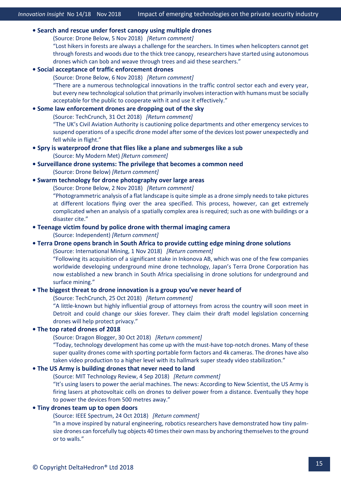#### **• [Search and rescue under forest canopy using multiple drones](https://dronebelow.com/2018/11/05/search-and-rescue-under-forest-canopy-using-multiple-drones/)**

(Source: Drone Below, 5 Nov 2018) *[\[Return comment\]](mailto:info@deltahedron.co.uk?subject=Comment%20on:%20Search%20and%20rescue%20under%20forest%20canopy%20using%20multiple%20drones)*

"Lost hikers in forests are always a challenge for the searchers. In times when helicopters cannot get through forests and woods due to the thick tree canopy, researchers have started using autonomous drones which can bob and weave through trees and aid these searchers."

#### **• [Social acceptance of traffic enforcement drones](https://dronebelow.com/2018/11/06/social-acceptance-of-traffic-enforcement-drones/)**

(Source: Drone Below, 6 Nov 2018) *[\[Return comment\]](mailto:info@deltahedron.co.uk?subject=Comment%20on:%20Social%20acceptance%20of%20traffic%20enforcement%20drones)*

"There are a numerous technological innovations in the traffic control sector each and every year, but every new technological solution that primarily involves interaction with humans must be socially acceptable for the public to cooperate with it and use it effectively."

#### **• [Some law enforcement drones are dropping out of the sky](https://techcrunch.com/2018/10/31/police-drones-falling-dji-matrice/)**

(Source: TechCrunch, 31 Oct 2018) *[\[Return comment\]](mailto:info@deltahedron.co.uk?subject=Comment%20on:%20Some%20law%20enforcement%20drones%20are%20dropping%20out%20of%20the%20sky)*

"The UK's Civil Aviation Authority is cautioning police departments and other emergency services to suspend operations of a specific drone model after some of the devices lost power unexpectedly and fell while in flight."

#### **[• Spry is waterproof drone that flies like a plane and submerges like a sub](https://mymodernmet.com/spry-waterproof-drone/)**

(Source: My Modern Met) *[\[Return comment\]](mailto:info@deltahedron.co.uk?subject=Comment%20on:%20Spry%20is%20waterproof%20drone%20that%20flies%20like%20a%20plane%20&%20submerges%20like%20a%20sub)*

#### **• Surveillance drone systems: [The privilege that becomes a common need](https://dronebelow.com/2018/08/25/surveillance-drone-systems-the-privilege-that-becomes-a-common-need/)**  (Source: Drone Below) *[\[Return comment\]](mailto:info@deltahedron.co.uk?subject=Comment%20on:%20Surveillance%20drone%20systems:%20the%20privilege%20that%20becomes%20a%20common%20need%20)*

#### **• [Swarm technology for drone photography over large areas](https://dronebelow.com/2018/11/02/swarm-technology-for-drone-photography-over-large-areas/)**

(Source: Drone Below, 2 Nov 2018) *[\[Return comment\]](mailto:info@deltahedron.co.uk?subject=Comment%20on:%20Swarm%20technology%20for%20drone%20photography%20over%20large%20areas)*

"Photogrammetric analysis of a flat landscape is quite simple as a drone simply needs to take pictures at different locations flying over the area specified. This process, however, can get extremely complicated when an analysis of a spatially complex area is required; such as one with buildings or a disaster cite."

#### **[• Teenage victim found by police drone with thermal imaging camera](https://www.independent.co.uk/news/uk/crime/police-drone-thermal-rape-victim-teenager-boston-lincolnshire-surveillance-technology-crime-fighting-a8572656.html)**

(Source: Independent) *[\[Return comment\]](mailto:info@deltahedron.co.uk?subject=Comment%20on:%20Teenage%20rape%20victim%20found%20by%20police%20drone%20with%20thermal%20imaging%20camera%20)*

#### **• [Terra Drone opens branch in South Africa to provide cutting edge mining drone solutions](https://im-mining.com/2018/11/01/terra-drone-opens-branch-south-africa-provide-cutting-edge-mining-drone-solutions/)**

(Source: International Mining, 1 Nov 2018) *[\[Return comment\]](mailto:info@deltahedron.co.uk?subject=Comment%20on:%20Terra%20drone%20opens%20branch%20in%20South%20Africa%20to%20provide%20cutting%20edge%20mining%20drone%20solutions)*

"Following its acquisition of a significant stake in Inkonova AB, which was one of the few companies worldwide developing underground mine drone technology, Japan's Terra Drone Corporation has now established a new branch in South Africa specialising in drone solutions for underground and surface mining."

#### **• [The biggest threat to drone innovation is a group you've never heard of](https://techcrunch.com/2018/10/25/the-biggest-threat-to-drone-innovation-is-a-group-youve-never-heard-of/)**

(Source: TechCrunch, 25 Oct 2018) *[\[Return comment\]](mailto:info@deltahedron.co.uk?subject=Comment%20on:%20The%20biggest%20threat%20to%20drone%20innovation%20is%20a%20group%20you%E2%80%99ve%20never%20heard%20of)*

"A little-known but highly influential group of attorneys from across the country will soon meet in Detroit and could change our skies forever. They claim their draft model legislation concerning drones will help protect privacy."

#### **• [The top rated drones of 2018](https://www.dragonblogger.com/the-top-rated-drones-of-2018/)**

(Source: Dragon Blogger, 30 Oct 2018) *[\[Return comment\]](mailto:info@deltahedron.co.uk?subject=Comment%20on:%20The%20top%20rated%20drones%20of%202018)*

"Today, technology development has come up with the must-have top-notch drones. Many of these super quality drones come with sporting portable form factors and 4k cameras. The drones have also taken video production to a higher level with its hallmark super steady video stabilization."

#### **• [The US Army is building drones that never need to land](https://www.technologyreview.com/the-download/611979/the-us-army-is-building-drones-that-never-need-to-land/)**

(Source: MIT Technology Review, 4 Sep 2018) *[\[Return comment\]](mailto:info@deltahedron.co.uk?subject=Comment%20on:%20the%20US%20army%20is%20building%20drones%20that%20never%20need%20to%20land)*

"It's using lasers to power the aerial machines. The news: According to New Scientist, the US Army is firing lasers at photovoltaic cells on drones to deliver power from a distance. Eventually they hope to power the devices from 500 metres away."

#### **• [Tiny drones team up to open doors](https://spectrum.ieee.org/automaton/robotics/drones/tiny-drones-team-up-to-open-doors)**

(Source: IEEE Spectrum, 24 Oct 2018) *[\[Return comment\]](mailto:info@deltahedron.co.uk?subject=Comment%20on:%20Tiny%20drones%20team%20up%20to%20open%20doors)*

"In a move inspired by natural engineering, robotics researchers have demonstrated how tiny palmsize drones can forcefully tug objects 40 times their own mass by anchoring themselves to the ground or to walls."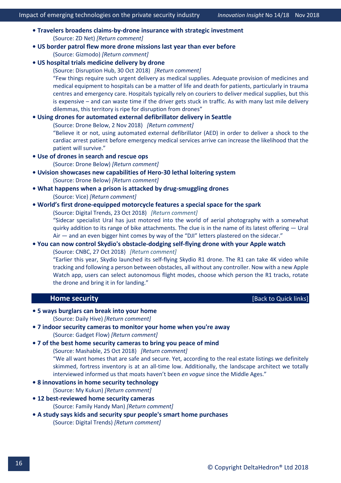- **Travelers broadens claims[-by-drone insurance with strategic investment](https://www.zdnet.com/article/travelers-broadens-claims-by-drone-insurance-with-strategic-investment/?ftag=TRE-03-10aaa6b&bhid=27422036896811589305410055111452)** (Source: ZD Net) *[\[Return comment\]](mailto:info@deltahedron.co.uk?subject=Comment%20on:%20Travelers%20broadens%20claims-by-drone%20insurance%20with%20strategic%20investment%20)*
- **[US border patrol flew more drone missions last year than ever before](https://www.gizmodo.com.au/2018/10/us-border-patrol-flew-more-drone-missions-last-year-than-ever-before/)**  (Source: Gizmodo) *[\[Return comment\]](mailto:info@deltahedron.co.uk?subject=Comment%20on:%20Us%20border%20patrol%20flew%20more%20drone%20missions%20last%20year%20than%20ever%20before%20)*
- **[US hospital trials medicine delivery by drone](https://disruptionhub.com/us-hospital-trials-medicine-delivery-by-drone/)**

(Source: Disruption Hub, 30 Oct 2018) *[\[Return comment\]](mailto:info@deltahedron.co.uk?subject=Comment%20on:%20Us%20hospital%20trials%20medicine%20delivery%20by%20drone)* "Few things require such urgent delivery as medical supplies. Adequate provision of medicines and medical equipment to hospitals can be a matter of life and death for patients, particularly in trauma centres and emergency care. Hospitals typically rely on couriers to deliver medical supplies, but this is expensive – and can waste time if the driver gets stuck in traffic. As with many last mile delivery dilemmas, this territory is ripe for disruption from drones"

#### **• [Using drones for automated external defibrillator delivery in Seattle](https://dronebelow.com/2018/11/02/using-drones-for-automated-external-defibrillator-delivery-in-seattle/)**

(Source: Drone Below, 2 Nov 2018) *[\[Return comment\]](mailto:info@deltahedron.co.uk?subject=Comment%20on:%20Using%20drones%20for%20automated%20external%20defibrillator%20delivery%20in%20seattle)*

"Believe it or not, using automated external defibrillator (AED) in order to deliver a shock to the cardiac arrest patient before emergency medical services arrive can increase the likelihood that the patient will survive."

**[• Use of drones in search a](https://dronebelow.com/2018/09/26/use-of-drones-in-search-and-rescue-ops/)nd rescue ops** 

(Source: Drone Below) *[\[Return comment\]](mailto:info@deltahedron.co.uk?subject=Comment%20on:%20Use%20of%20drones%20in%20search%20and%20rescue%20ops%20)*

- **[Uvision showcases new capabilities of Hero](https://dronebelow.com/2018/10/08/uvision-showcases-new-capabilities-of-hero-30-lethal-loitering-system/)-30 lethal loitering system**  (Source: Drone Below) *[\[Return comment\]](mailto:info@deltahedron.co.uk?subject=Comment%20on:%20Uvision%20showcases%20new%20capabilities%20of%20hero-30%20lethal%20loitering%20system%20)*
- **[What happens when a prison is attacked by drug](https://news.vice.com/en_us/article/438a59/what-happens-when-a-prison-is-attacked-by-drug-smuggling-drones)-smuggling drones** (Source: Vice) *[\[Return comment\]](mailto:info@deltahedron.co.uk?subject=Comment%20on:%20What%20happens%20when%20a%20prison%20is%20attacked%20by%20drug-smuggling%20drones)*

#### **• [World's first drone-equipped motorcycle features a special space for the spark](https://www.digitaltrends.com/cool-tech/worlds-first-drone-equipped-motorcycle-has-a-space-for-the-spark/)**

(Source: Digital Trends, 23 Oct 2018) *[\[Return comment\]](mailto:info@deltahedron.co.uk?subject=Comment%20on:%20World%E2%80%99s%20first%20drone-equipped%20motorcycle%20features%20a%20special%20space%20for%20the%20spark)*

"Sidecar specialist Ural has just motored into the world of aerial photography with a somewhat quirky addition to its range of bike attachments. The clue is in the name of its latest offering — Ural Air – and an even bigger hint comes by way of the "DJI" letters plastered on the sidecar."

#### **• You can now control Skydio's obstacle[-dodging self-flying drone with your Apple watch](https://www.cnbc.com/2018/10/26/skydio-self-flying-drone-gets-apple-watch-support.html)**

(Source: CNBC, 27 Oct 2018) *[\[Return comment\]](mailto:info@deltahedron.co.uk?subject=Comment%20on:%20You%20can%20now%20control%20skydio)*

"Earlier this year, Skydio launched its self-flying Skydio R1 drone. The R1 can take 4K video while tracking and following a person between obstacles, all without any controller. Now with a new Apple Watch app, users can select autonomous flight modes, choose which person the R1 tracks, rotate the drone and bring it in for landing."

#### <span id="page-17-0"></span> **Home security**  *Home security Exercise <b>Properties Exercise <b><i> Exercise EXEC SECURITY EXECUTIVEL*

# **[• 5 ways burglars can break into your home](http://dailyhive.com/toronto/ways-burglars-can-break-into-your-home-battikha-security)**

(Source: Daily Hive) *[\[Return comment\]](mailto:info@deltahedron.co.uk?subject=Comment%20on:%205%20ways%20burglars%20can%20break%20into%20your%20home%20)*

#### **[• 7 indoor security cameras to monitor your home when you're away](https://thegadgetflow.com/blog/7-indoor-security-cameras-to-monitor-your-home-when-youre-away/)** (Source: Gadget Flow) *[\[Return comment\]](mailto:info@deltahedron.co.uk?subject=Comment%20on:%207%20indoor%20security%20cameras%20to%20monitor%20your%20home%20when%20you)*

#### **• [7 of the best home security cameras to bring you peace of mind](https://mashable.com/roundup/best-home-security-cameras/?europe=true)**

(Source: Mashable, 25 Oct 2018) *[\[Return comment\]](mailto:info@deltahedron.co.uk?subject=Comment%20on:%207%20of%20the%20best%20home%20security%20cameras%20to%20bring%20you%20peace%20of%20mind)*

"We all want homes that are safe and secure. Yet, according to the real estate listings we definitely skimmed, fortress inventory is at an all-time low. Additionally, the landscape architect we totally interviewed informed us that moats haven't been *en vogue* since the Middle Ages."

- **[8 innovations in home security technology](https://mykukun.com/8-innovations-home-security-technology/)** 
	- (Source: My Kukun) *[\[Return comment\]](mailto:info@deltahedron.co.uk?subject=Comment%20on:%208%20innovations%20in%20home%20security%20technology%20)*

### **• 12 bes[t-reviewed home security cameras](https://www.familyhandyman.com/home-security/best-reviewed-home-security-cameras/view-all/)**

(Source: Family Handy Man) *[\[Return comment\]](mailto:info@deltahedron.co.uk?subject=Comment%20on:%2012%20best-reviewed%20home%20security%20cameras%20)*

**[• A study says kids and security spur people's smart home purchases](https://www.digitaltrends.com/home/home-depot-says-smart-home-purchases-driven-by-security-children/)** 

(Source: Digital Trends) *[\[Return comment\]](mailto:info@deltahedron.co.uk?subject=Comment%20on:%20A%20study%20says%20kids%20and%20security%20spur%20people)*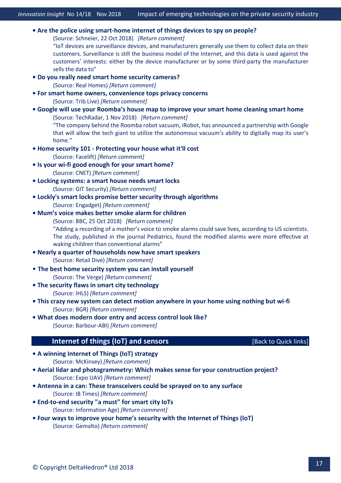- **Are the police using smart-[home internet of things devices to spy on people?](https://www.schneier.com/blog/archives/2018/10/are_the_police_.html)** (Source: Schneier, 22 Oct 2018) *[\[Return comment\]](mailto:info@deltahedron.co.uk?subject=Comment%20on:%20Are%20the%20police%20using%20smart-home%20IoT%20devices%20to%20spy%20on%20people?)* "IoT devices are surveillance devices, and manufacturers generally use them to collect data on their customers. Surveillance is still the business model of the Internet, and this data is used against the customers' interests: either by the device manufacturer or by some third-party the manufacturer sells the data to" **[• Do you really need smart home security cameras?](https://www.realhomes.com/advice/do-you-really-need-smart-home-security-cameras)**  (Source: Real Homes) *[\[Return comment\]](mailto:info@deltahedron.co.uk?subject=Comment%20on:%20Do%20you%20really%20need%20smart%20home%20security%20cameras?%20)* **[• For smart home owners, convenience tops privacy](https://triblive.com/lifestyles/morelifestyles/14101617-74/for-smart-home-owners-convenience-tops-privacy-concerns) concerns**  (Source: Trib Live) *[\[Return comment\]](mailto:info@deltahedron.co.uk?subject=Comment%20on:%20For%20smart%20home%20owners,%20convenience%20tops%20privacy%20concerns%20)* **• [Google will use your Roomba's house map to improve your smart home cleaning smart home](https://www.techradar.com/news/google-will-use-your-roombas-house-map-to-improve-your-smart-home)** (Source: TechRadar, 1 Nov 2018) *[\[Return comment\]](mailto:info@deltahedron.co.uk?subject=Comment%20on:%20Google%20will%20use%20your%20roomba%E2%80%99s%20house%20map%20to%20improve%20your%20smart%20home%20cleaning%20smart%20home)* "The company behind the Roomba robot vacuum, iRobot, has announced a partnership with Google that will allow the tech giant to utilize the autonomous vacuum's ability to digitally map its user's home." **• Home security 101 - [Protecting your house what it'll cost](https://facelift.patch.com/us/across-america/home-security-101-protecting-your-house-what-itll-cost)** (Source: Facelift) *[\[Return comment\]](mailto:info@deltahedron.co.uk?subject=Comment%20on:%20Home%20security%20101-%20Protecting%20your%20house%20what%20it)* **• Is your wi-[fi good enough for your smart home?](https://www.cnet.com/how-to/wi-fi-smart-home-wi-fi-fix-mesh-network/)**  (Source: CNET) *[\[Return comment\]](mailto:info@deltahedron.co.uk?subject=Comment%20on:%20Is%20your%20wi-fi%20good%20enough%20for%20your%20smart%20home?%20)* **[• Locking systems: a smart house needs smart locks](https://www.git-security.com/topstories/security/locking-systems-smart-house-needs-smart-locks)**  (Source: GIT Security) *[\[Return comment\]](mailto:info@deltahedron.co.uk?subject=Comment%20on:%20Locking%20systems:%20a%20smart%20house%20needs%20smart%20locks%20)* **[• Lockly's smart locks promise better security through algorithms](https://www.engadget.com/2018/09/21/lockly-smart-lock/)** (Source: Engadget) *[\[Return comment\]](mailto:info@deltahedron.co.uk?subject=Comment%20on:%20Lockly)* **• [Mum's voice makes better smoke alarm for chil](https://www.bbc.co.uk/news/health-45968005)dren**  (Source: BBC, 25 Oct 2018) *[\[Return comment\]](mailto:info@deltahedron.co.uk?subject=Comment%20on:%20Mum%E2%80%99s%20voice%20makes%20better%20smoke%20alarm%20for%20children)* "Adding a recording of a mother's voice to smoke alarms could save lives, according to US scientists. The study, published in the journal Pediatrics, found the modified alarms were more effective at waking children than conventional alarms" **[• Nearly a quarter of households now have smart speakers](https://www.retaildive.com/news/nearly-a-quarter-of-households-now-have-smart-speakers/538479/)**  (Source: Retail Dive) *[\[Return comment\]](mailto:info@deltahedron.co.uk?subject=Comment%20on:%20Nearly%20a%20quarter%20of%20households%20now%20have%20smart%20speakers%20)* • **[The best home security system you can install yourself](https://www.theverge.com/this-is-my-next/2018/9/7/17828782/security-system-self-installed-easy-installation-set-up)** (Source: The Verge) *[\[Return comment\]](mailto:info@deltahedron.co.uk?subject=Comment%20on:%20The%20best%20home%20security%20system%20you%20can%20install%20yourself%20)* **• The se[curity flaws in smart city technology](https://i-hls.com/archives/85066)**  (Source: IHLS) *[\[Return comment\]](mailto:info@deltahedron.co.uk?subject=Comment%20on:%20The%20security%20flaws%20in%20smart%20city%20technology%20)* **[• This crazy new system can detect motion anywhere in your home using nothing but wi](https://bgr.com/2017/12/18/best-home-security-monitoring-no-cameras-aura/)-fi** (Source: BGR) *[\[Return comment\]](mailto:info@deltahedron.co.uk?subject=Comment%20on:%20This%20crazy%20new%20system%20can%20detect%20motion%20anywhere%20in%20your%20home%20using%20nothing%20but%20wi-fi)* **[• What does modern door entry and access control look like?](https://www.barbourproductsearch.info/what-does-modern-door-entry-and-access-control-blog000505.html?newsletterid=868&subscr_id=155872&ac=lv.pd.opsefibumfe3y9pgoj)** (Source: Barbour-ABI) *[\[Return comment\]](mailto:info@deltahedron.co.uk?subject=Comment%20on:%20What%20does%20modern%20door%20entry%20and%20access%20control%20look%20like?)* **Internet of things (IoT) and sensors** *COND* **Example 20** [\[Back to Quick](#page-2-0) links] **[• A winning Internet of Things \(IoT\) strategy](https://www.mckinsey.com/business-functions/digital-mckinsey/our-insights/what-it-takes-to-get-an-edge-in-the-internet-of-things?cid=soc-app)**  (Source: McKinsey) *[\[Return comment\]](mailto:info@deltahedron.co.uk?subject=Comment%20on:%20A%20winning%20Internet%20of%20Things%20(IoT)%20strategy%20)* **• Aerial lidar and photogrammetry: W[hich makes sense for your construction project?](https://www.expouav.com/news/latest/aerial-lidar-and-photogrammetry-construction-project/?utm_source=Sailthru&utm_medium=email&utm_campaign=Issue:%202018-09-19%20Construction%20Dive:%20Tech%20%5Bissue:17196%5D&utm_term=Construction%20Dive:%20Tech)**  (Source: Expo UAV) *[\[Return comment\]](mailto:info@deltahedron.co.uk?subject=Comment%20on:%20Aerial%20lidar%20and%20photogrammetry:%20which%20makes%20sense%20for%20your%20construction%20project?%20)* **• Antenna in a can: [These transceivers could be sprayed on to any surface](https://www.ibtimes.co.in/antenna-can-these-transceivers-could-be-sprayed-any-surface-781288)**  (Source: IB Times) *[\[Return comment\]](mailto:info@deltahedron.co.uk?subject=Comment%20on:%20Antenna%20in%20a%20can:%20these%20transceivers%20could%20be%20sprayed%20on%20to%20any%20surface%20)* **• End[-to-end security "a must" for smart city IoTs](https://www.information-age.com/end-to-end-security-must-smart-cities-123474388/)**  (Source: Information Age) *[\[Return comment\]](mailto:info@deltahedron.co.uk?subject=Comment%20on:%20End-to-end%20security%20%22a%20must%22%20for%20smart%20city%20iots%20)*
- <span id="page-18-0"></span>**[• Four ways to improve your home's security with the Internet of Things \(IoT\)](https://blog.gemalto.com/iot/2018/10/04/four-ways-to-improve-your-homes-security-with-the-iot/)**  (Source: Gemalto) *[\[Return comment\]](mailto:info@deltahedron.co.uk?subject=Comment%20on:%20Four%20ways%20to%20improve%20your%20home%E2%80%99s%20security%20with%20the%20Internet%20of%20Things%20(IoT)%20)*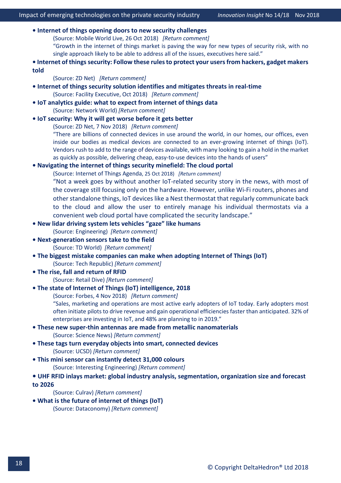| • Internet of things opening doors to new security challenges                                                                                                                                   |  |  |  |  |
|-------------------------------------------------------------------------------------------------------------------------------------------------------------------------------------------------|--|--|--|--|
| (Source: Mobile World Live, 26 Oct 2018) [Return comment]                                                                                                                                       |  |  |  |  |
| "Growth in the internet of things market is paving the way for new types of security risk, with no                                                                                              |  |  |  |  |
| single approach likely to be able to address all of the issues, executives here said."                                                                                                          |  |  |  |  |
| . Internet of things security: Follow these rules to protect your users from hackers, gadget makers                                                                                             |  |  |  |  |
| told                                                                                                                                                                                            |  |  |  |  |
| (Source: ZD Net) [Return comment]                                                                                                                                                               |  |  |  |  |
| . Internet of things security solution identifies and mitigates threats in real-time                                                                                                            |  |  |  |  |
| (Source: Facility Executive, Oct 2018) [Return comment]                                                                                                                                         |  |  |  |  |
| • IoT analytics guide: what to expect from internet of things data                                                                                                                              |  |  |  |  |
| (Source: Network World) [Return comment]                                                                                                                                                        |  |  |  |  |
| . IoT security: Why it will get worse before it gets better                                                                                                                                     |  |  |  |  |
| (Source: ZD Net, 7 Nov 2018) [Return comment]                                                                                                                                                   |  |  |  |  |
| "There are billions of connected devices in use around the world, in our homes, our offices, even                                                                                               |  |  |  |  |
| inside our bodies as medical devices are connected to an ever-growing internet of things (IoT).                                                                                                 |  |  |  |  |
| Vendors rush to add to the range of devices available, with many looking to gain a hold in the market<br>as quickly as possible, delivering cheap, easy-to-use devices into the hands of users" |  |  |  |  |
| . Navigating the internet of things security minefield: The cloud portal                                                                                                                        |  |  |  |  |
| (Source: Internet of Things Agenda, 25 Oct 2018) [Return comment]                                                                                                                               |  |  |  |  |
| "Not a week goes by without another IoT-related security story in the news, with most of                                                                                                        |  |  |  |  |
| the coverage still focusing only on the hardware. However, unlike Wi-Fi routers, phones and                                                                                                     |  |  |  |  |
| other standalone things, IoT devices like a Nest thermostat that regularly communicate back                                                                                                     |  |  |  |  |
| to the cloud and allow the user to entirely manage his individual thermostats via a                                                                                                             |  |  |  |  |
| convenient web cloud portal have complicated the security landscape."                                                                                                                           |  |  |  |  |
| . New lidar driving system lets vehicles "gaze" like humans                                                                                                                                     |  |  |  |  |
| (Source: Engineering) [Return comment]                                                                                                                                                          |  |  |  |  |
| . Next-generation sensors take to the field                                                                                                                                                     |  |  |  |  |
| (Source: TD World) [Return comment]                                                                                                                                                             |  |  |  |  |
| . The biggest mistake companies can make when adopting Internet of Things (IoT)                                                                                                                 |  |  |  |  |
| (Source: Tech Republic) [Return comment]                                                                                                                                                        |  |  |  |  |
| . The rise, fall and return of RFID                                                                                                                                                             |  |  |  |  |
| (Source: Retail Dive) [Return comment]                                                                                                                                                          |  |  |  |  |
| • The state of Internet of Things (IoT) intelligence, 2018                                                                                                                                      |  |  |  |  |
| (Source: Forbes, 4 Nov 2018) [Return comment]                                                                                                                                                   |  |  |  |  |
| "Sales, marketing and operations are most active early adopters of IoT today. Early adopters most                                                                                               |  |  |  |  |
| often initiate pilots to drive revenue and gain operational efficiencies faster than anticipated. 32% of                                                                                        |  |  |  |  |
| enterprises are investing in IoT, and 48% are planning to in 2019."                                                                                                                             |  |  |  |  |
| • These new super-thin antennas are made from metallic nanomaterials                                                                                                                            |  |  |  |  |
| (Source: Science News) [Return comment]                                                                                                                                                         |  |  |  |  |
| . These tags turn everyday objects into smart, connected devices                                                                                                                                |  |  |  |  |
| (Source: UCSD) [Return comment]                                                                                                                                                                 |  |  |  |  |
| . This mini sensor can instantly detect 31,000 colours                                                                                                                                          |  |  |  |  |
| (Source: Interesting Engineering) [Return comment]                                                                                                                                              |  |  |  |  |
| • UHF RFID inlays market: global industry analysis, segmentation, organization size and forecast                                                                                                |  |  |  |  |
| to 2026                                                                                                                                                                                         |  |  |  |  |
| (Source: Culrav) [Return comment]                                                                                                                                                               |  |  |  |  |
| . What is the future of internet of things (IoT)                                                                                                                                                |  |  |  |  |
| (Source: Dataconomy) [Return comment]                                                                                                                                                           |  |  |  |  |
|                                                                                                                                                                                                 |  |  |  |  |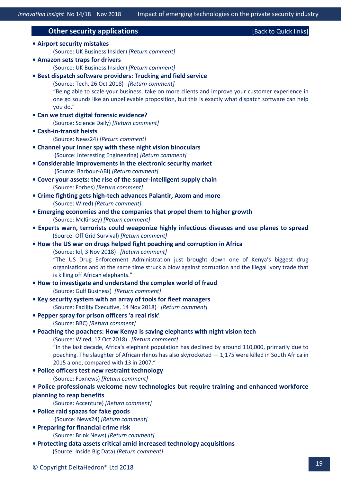<span id="page-20-0"></span>**Other security applications Contained Act and Contained Act of the Contained Act of Containing Contained Act of Containing Containing Containing Containing Containing Containing Containing Containing Containing Containi [• Airport security mistakes](http://uk.businessinsider.com/airport-security-tips-mistakes-2018-9?r=US&IR=T)**  (Source: UK Business Insider) *[\[Return comment\]](mailto:info@deltahedron.co.uk?subject=Comment%20on:%20Airport%20security%20mistakes%20)* **[• Amazon sets traps for drivers](http://uk.businessinsider.com/amazon-sets-traps-for-drivers-2018-9?r=US&IR=T)**  (Source: UK Business Insider) *[\[Return comment\]](mailto:info@deltahedron.co.uk?subject=Comment%20on:%20Amazon%20sets%20traps%20for%20drivers%20)* **• [Best dispatch software providers: Trucking and field service](https://tech.co/best-dispatch-software-providers-trucking-and-field-service-2018-10)** (Source: Tech, 26 Oct 2018) *[\[Return comment\]](mailto:info@deltahedron.co.uk?subject=Comment%20on:%20Best%20dispatch%20software%20providers:%20Trucking%20and%20field%20service)* "Being able to scale your business, take on more clients and improve your customer experience in one go sounds like an unbelievable proposition, but this is exactly what dispatch software can help you do." **[• Can we trust digital forensic evidence?](https://www.sciencedaily.com/releases/2018/10/181002113953.htm)**  (Source: Science Daily) *[\[Return comment\]](mailto:info@deltahedron.co.uk?subject=Comment%20on:%20Can%20we%20trust%20digital%20forensic%20evidence?%20)* **• Cash[-in-transit heists](https://www.news24.com/Columnists/GuestColumn/cash-in-transit-heists-a-glimpse-into-the-state-of-crime-fighting-20180706)** (Source: News24) *[\[Return comment\]](mailto:info@deltahedron.co.uk?subject=Comment%20on:%20Cash-in-transit%20heists)* **[• Channel your inner spy with these night vision binoculars](https://interestingengineering.com/channel-your-inner-spy-with-these-night-vision-binoculars?_source=newsletter&_campaign=vLM35pjL0xZJy&_uid=K9b68MkneE&_h=d15ee70333b0a386c84f635a4bdf9e59ee4f2966&utm_source=newsletter&utm_medium=mailing&utm_campaign=Newsletter-28-09-2018)** (Source: Interesting Engineering) *[\[Return comment\]](mailto:info@deltahedron.co.uk?subject=Comment%20on:%20Channel%20your%20inner%20spy%20with%20these%20night%20vision%20binoculars)* **[• Considerable improvements in the electronic security market](https://www.barbourproductsearch.info/considerable-improvements-in-the-electronic-blog000506.html?newsletterid=868&subscr_id=155872&ac=lv.pd.opsefibumfe3y9pgoj)** (Source: Barbour-ABI) *[\[Return comment\]](mailto:info@deltahedron.co.uk?subject=Comment%20on:%20Considerable%20improvements%20in%20the%20electronic%20security%20market)* **[• Cover your assets: the rise of the super](https://www.forbes.com/sites/insights-inteliot/2018/09/14/cover-your-assets-the-rise-of-the-super-intelligent-supply-chain/)-intelligent supply chain** (Source: Forbes) *[\[Return comment\]](mailto:info@deltahedron.co.uk?subject=Comment%20on:%20Cover%20your%20assets:%20the%20rise%20of%20the%20super-intelligent%20supply%20chain)* **• Crime fighting gets high[-tech advances Palantir, Axom and more](https://www.wired.com/story/crime-fighting-gets-high-tech-advances/)**  (Source: Wired) *[\[Return comment\]](mailto:info@deltahedron.co.uk?subject=Comment%20on:%20Crime%20fighting%20gets%20high-tech%20advances%20palantir,%20axom,%20and%20more%20)* **[• Emerging economies and the companies that propel them to higher growth](https://www.mckinsey.com/featured-insights/innovation-and-growth/outperformers-high-growth-emerging-economies-and-the-companies-that-propel-them?cid=other-eml-alt-mgi-mck-oth-1809&hlkid=5591465d08a247d799948d6817e948f4&hctky=2879352&hdpid=d18ce580-34a0-4144-b49f-4218725ab2d7)**  (Source: McKinsey) *[\[Return comment\]](mailto:info@deltahedron.co.uk?subject=Comment%20on:%20Emerging%20economies%20and%20the%20companies%20that%20propel%20them%20to%20higher%20growth%20)* **[• Experts warn, terrorists could weaponize highly infectious diseases and use planes to spread](https://offgridsurvival.com/experts-warn-terrorists-could-weaponize-highly-infectious-diseases-and-use-planes-to-spread/)** (Source: Off Grid Survival) *[\[Return comment\]](mailto:info@deltahedron.co.uk?subject=Comment%20on:%20Experts%20warn,%20terrorists%20could%20weaponize%20highly%20infectious%20diseases%20and%20use%20planes%20to%20spread)* **• [How the US war on drugs helped fight poaching and corruption in Africa](https://www.iol.co.za/news/world/how-the-us-war-on-drugs-helped-fight-poaching-and-corruption-in-africa-17759277)** (Source: Iol, 3 Nov 2018) *[\[Return comment\]](mailto:info@deltahedron.co.uk?subject=Comment%20on:%20How%20the%20US%20war%20on%20drugs%20helped%20fight%20poaching%20and%20corruption%20in%20Africa)* "The US Drug Enforcement Administration just brought down one of Kenya's biggest drug organisations and at the same time struck a blow against corruption and the illegal ivory trade that is killing off African elephants." **• How to in[vestigate and understand the complex world of fraud](http://gulfbusiness.com/investigate-understand-complex-world-fraud/)** (Source: Gulf Business) *[\[Return comment\]](mailto:info@deltahedron.co.uk?subject=Comment%20on:%20How%20to%20investigate%20and%20understand%20the%20complex%20world%20of%20fraud%20)* **• [Key security system with an array of tools for fleet managers](https://facilityexecutive.com/2018/11/key-security-for-fleet-managers/)** (Source: Facility Executive, 14 Nov 2018) *[\[Return comment\]](mailto:info@deltahedron.co.uk?subject=Comment%20on:%20Key%20security%20system%20with%20an%20array%20of%20tools%20for%20fleet%20managers)* **[• Pepper spray for prison officers 'a real risk'](https://www.bbc.co.uk/news/uk-45791055)**  (Source: BBC) *[\[Return comment\]](mailto:info@deltahedron.co.uk?subject=Comment%20on:%20Pepper%20spray%20for%20prison%20officers%20)* **• [Poaching the poachers: How Kenya is saving elephants with night vision tech](https://www.wired.co.uk/video/kenya-elephant-poachers-night-vision)** (Source: Wired, 17 Oct 2018) *[\[Return comment\]](mailto:info@deltahedron.co.uk?subject=Comment%20on:%20Poaching%20the%20poachers:%20How%20Kenya%20is%20saving%20elephants%20with%20night%20vision%20tech)* "In the last decade, Africa's elephant population has declined by around 110,000, primarily due to poaching. The slaughter of African rhinos has also skyrocketed — 1,175 were killed in South Africa in 2015 alone, compared with 13 in 2007." **[• Police officers test new restraint technology](https://www.foxnews.com/tech/police-officers-test-new-restraint-technology)**  (Source: Foxnews) *[\[Return comment\]](mailto:info@deltahedron.co.uk?subject=Comment%20on:%20Police%20officers%20test%20new%20restraint%20technology%20)* **• Police prof[essionals welcome new technologies but require training and enhanced workforce](https://newsroom.accenture.com/news/police-professionals-welcome-new-technologies-but-require-training-and-enhanced-workforce-planning-to-reap-benefits-accenture-survey-finds.htm)  [planning to reap benefits](https://newsroom.accenture.com/news/police-professionals-welcome-new-technologies-but-require-training-and-enhanced-workforce-planning-to-reap-benefits-accenture-survey-finds.htm)** 

- (Source: Accenture) *[\[Return comment\]](mailto:info@deltahedron.co.uk?subject=Comment%20on:%20Police%20professionals%20welcome%20new%20technologies%20but%20require%20training%20and%20enhanced%20workforce%20planning%20to%20reap%20benefits,%20accenture%20survey%20finds%20)*
- **[Police raid spazas for fake goods](https://www.news24.com/SouthAfrica/News/police-raid-spazas-for-fake-goods-20180901)**  (Source: News24) *[\[Return comment\]](mailto:info@deltahedron.co.uk?subject=Comment%20on:%20Police%20raid%20spazas%20for%20fake%20goods%20)*
- **[Preparing for financial crime risk](http://www.brinknews.com/asia/preparing-for-financial-crime-risk/?utm_source=BRINKSubscribers&utm_campaign=be27fc0ca1-EMAIL_CAMPAIGN_2018_09_17_07_33&utm_medium=email&utm_term=0_c3639d7c98-be27fc0ca1-110323357)** (Source: Brink News) *[\[Return comment\]](mailto:imailto:info@deltahedron.co.uknfo@deltahedron.co.uk?subject=Comment%20on:%20Predictive%20analytics%20in%20operations%20)*
- **• [Protecting data assets critical amid increased technology acquisitions](https://insidebigdata.com/2018/10/04/protecting-data-assets-critical-amid-increased-technology-acquisitions/)**  (Source: Inside Big Data) *[\[Return comment\]](mailto:info@deltahedron.co.uk?subject=Comment%20on:%20Protecting%20data%20assets%20critical%20amid%20increased%20technology%20acquisitions%20)*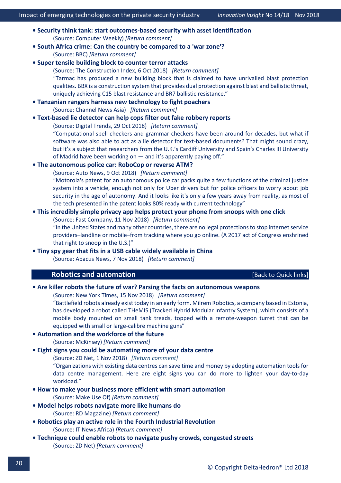- **Security think [tank: start outcomes-based security with asset identification](https://www.computerweekly.com/opinion/Security-Think-Tank-Start-outcomes-based-security-with-asset-identification)** (Source: Computer Weekly) *[\[Return comment\]](mailto:info@deltahedron.co.uk?subject=Comment%20on:%20Security%20think%20tank:%20start%20outcomes-based%20security%20with%20asset%20identification)*
- **[South Africa crime: Can the country be compared to a 'war zone'?](https://www.bbc.co.uk/news/world-africa-45547975)**  (Source: BBC) *[\[Return comment\]](mailto:info@deltahedron.co.uk?subject=Comment%20on:%20South%20africa%20crime:%20can%20the%20country%20be%20compared%20to%20a%20)*
- **[Super tensile building block to counter terror attacks](https://www.theconstructionindex.co.uk/news/view/super-tensile-building-block-to-counter-terrorists)**
	- (Source: The Construction Index, 6 Oct 2018) *[\[Return comment\]](mailto:info@deltahedron.co.uk?subject=Comment%20on:%20Super%20tensile%20building%20block%20to%20counter%20terror%20attacks)* "Tarmac has produced a new building block that is claimed to have unrivalled blast protection qualities. BBX is a construction system that provides dual protection against blast and ballistic threat, uniquely achieving C15 blast resistance and BR7 ballistic resistance."
- **• [Tanzanian rangers harness new technology to fight poachers](https://www.channelnewsasia.com/news/world/tanzanian-rangers-harness-new-technology-to-fight-poachers-10812834)**  (Source: Channel News Asia) *[\[Return comment\]](mailto:info@deltahedron.co.uk?subject=Comment%20on:%20Tanzanian%20rangers%20harness%20new%20technology%20to%20fight%20poachers)*

#### **• [Text-based lie detector can help cops filter out fake robbery reports](https://www.digitaltrends.com/cool-tech/text-lie-detector-statements-police-robbery/)**

(Source: Digital Trends, 29 Oct 2018) *[\[Return comment\]](mailto:info@deltahedron.co.uk?subject=Comment%20on:%20Text-based%20lie%20detector%20can%20help%20cops%20filter%20out%20fake%20robbery%20reports)*

"Computational spell checkers and grammar checkers have been around for decades, but what if software was also able to act as a lie detector for text-based documents? That might sound crazy, but it's a subject that researchers from the U.K.'s Cardiff University and Spain's Charles III University of Madrid have been working on — and it's apparently paying off."

#### **• [The autonomous police car: RoboCop or reverse ATM?](http://www.autonews.com/article/20181009/BLOG06/310109997/the-autonomous-police-car:-robocop-or-reverse-atm)**

(Source: Auto News, 9 Oct 2018) *[\[Return comment\]](mailto:info@deltahedron.co.uk?subject=Comment%20on:%20The%20autonomous%20police%20car:%20RoboCop%20or%20reverse%20ATM?)*

"Motorola's patent for an autonomous police car packs quite a few functions of the criminal justice system into a vehicle, enough not only for Uber drivers but for police officers to worry about job security in the age of autonomy. And it looks like it's only a few years away from reality, as most of the tech presented in the patent looks 80% ready with current technology"

#### **• [This incredibly simple privacy app helps protect your phone from snoops with one click](https://www.fastcompany.com/90265744/this-incredibly-simple-privacy-app-helps-protect-your-phone-from-snoops-with-one-click)**

(Source: Fast Company, 11 Nov 2018) *[\[Return comment\]](mailto:info@deltahedron.co.uk?subject=Comment%20on:%20This%20iNcredibly%20simple%20privacy%20app%20helps%20protect%20your%20phone%20from%20snoops%20with%20one%20click)*

"In the United States and many other countries, there are no legal protections to stop internet service providers–landline or mobile–from tracking where you go online. (A 2017 act of Congress enshrined that right to snoop in the U.S.)"

### <span id="page-21-0"></span>**• [Tiny spy gear that fits in a USB cable widely available in China](https://www.abacusnews.com/digital-life/spy-equipment-china-available-your-fingertips/article/2172151)**

(Source: Abacus News, 7 Nov 2018) *[\[Return comment\]](mailto:info@deltahedron.co.uk?subject=Comment%20on:%20Tiny%20spy%20gear%20that%20fits%20in%20a%20usb%20cable%20widely%20available%20in%20China)*

### **Robotics and automation Example 2018** [\[Back to Quick links\]](#page-2-0)

### **• [Are killer robots the future of war? Parsing the facts on autonomous weapons](https://www.nytimes.com/2018/11/15/magazine/autonomous-robots-weapons.html)**

(Source: New York Times, 15 Nov 2018) *[\[Return comment\]](mailto:info@deltahedron.co.uk?subject=Comment%20on:%20Are%20killer%20robots%20the%20future%20of%20war?%20Parsing%20the%20facts%20on%20autonomous%20weapons)*

"Battlefield robots already exist today in an early form. Milrem Robotics, a company based in Estonia, has developed a robot called THeMIS (Tracked Hybrid Modular Infantry System), which consists of a mobile body mounted on small tank treads, topped with a remote-weapon turret that can be equipped with small or large-calibre machine guns"

### **[• Automation and the workforce of the future](https://www.mckinsey.com/featured-insights/future-of-work/skill-shift-automation-and-the-future-of-the-workforce?cid=soc-app)**

(Source: McKinsey) *[\[Return comment\]](mailto:info@deltahedron.co.uk?subject=Comment%20on:%20Automation%20and%20the%20workforce%20of%20the%20future%20)*

#### **• [Eight signs you could be automating more of your data centre](https://www.zdnet.com/article/8-signs-you-could-be-automating-more-of-your-data-center/?ftag=TRE-03-10aaa6b&bhid=27422036896811589305410055111452)**

(Source: ZD Net, 1 Nov 2018) *[\[Return comment\]](mailto:info@deltahedron.co.uk?subject=Comment%20on:%20Eight%20signs%20you%20could%20be%20automating%20more%20of%20your%20data%20center)*

"Organizations with existing data centres can save time and money by adopting automation tools for data centre management. Here are eight signs you can do more to lighten your day-to-day workload."

**[• How to make your business more efficient with smart automation](https://www.makeuseof.com/tag/smart-business-automation/)**

(Source: Make Use Of) *[\[Return comment\]](mailto:info@deltahedron.co.uk?subject=Comment%20on:%20How%20to%20make%20your%20business%20more%20efficient%20with%20smart%20automation)*

- **[Model helps robots navigate more like humans do](https://www.rdmag.com/news/2018/10/model-helps-robots-navigate-more-humans-do)** (Source: RD Magazine) *[\[Return comment\]](mailto:info@deltahedron.co.uk?subject=Comment%20on:%20Model%20helps%20robots%20navigate%20more%20like%20humans%20do)*
- **[Robotics play an active role in](http://www.itnewsafrica.com/2018/09/robotics-play-an-active-role-in-4th-industrial-revolution/) the Fourth Industrial Revolution**  (Source: IT News Africa) *[\[Return comment\]](mailto:info@deltahedron.co.uk?subject=Comment%20on:%20Robotics%20play%20an%20active%20role%20in%204th%20industrial%20revolution%20)*
- **Technique could enable ro[bots to navigate pushy crowds, congested streets](https://www.zdnet.com/article/technique-could-enable-robots-to-navigate-pushy-crowds-congested-streets/)**  (Source: ZD Net) *[\[Return comment\]](mailto:info@deltahedron.co.uk?subject=Comment%20on:%20Technique%20could%20enable%20robots%20to%20navigate%20pushy%20crowds,%20congested%20streets%20)*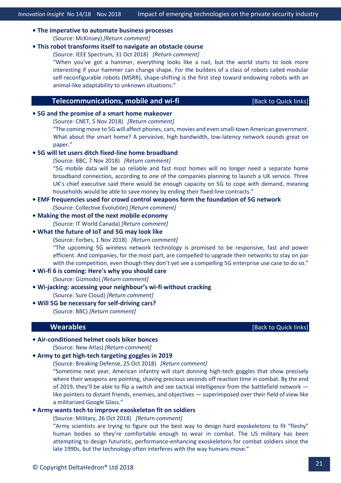#### **• The imperative to [automate business processes](https://www.mckinsey.com/business-functions/operations/our-insights/the-automation-imperative?cid=other-eml-alt-mip-mck-oth-1810&hlkid=ca09cb91bc094193b828705bd1ce5867&hctky=2879352&hdpid=ddc7fd1c-3815-4675-ae1a-f53e67d88452)**  (Source: McKinsey) *[\[Return comment\]](mailto:info@deltahedron.co.uk?subject=Comment%20on:%20The%20imperative%20to%20automate%20business%20processes%20)*

#### **• [This robot transforms itself to navigate an obstacle course](https://spectrum.ieee.org/automaton/robotics/robotics-hardware/transformerbots)**

(Source: IEEE Spectrum, 31 Oct 2018) *[\[Return comment\]](mailto:info@deltahedron.co.uk?subject=Comment%20on:%20This%20robot%20transforms%20itself%20to%20navigate%20an%20obstacle%20course)*

"When you've got a hammer, everything looks like a nail, but the world starts to look more interesting if your hammer can change shape. For the builders of a class of robots called modular self-reconfigurable robots (MSRR), shape-shifting is the first step toward endowing robots with an animal-like adaptability to unknown situations."

#### **Telecommunications, mobile and wi-fi Example 10 and Minimum in the United States** [\[Back to Quick links\]](#page-2-0)

#### <span id="page-22-0"></span>**• [5G and the promise of a smart home makeover](https://www.cnet.com/news/5g-and-the-promise-of-a-smart-home-makeover/)**

(Source: CNET, 5 Nov 2018) *[\[Return comment\]](mailto:info@deltahedron.co.uk?subject=Comment%20on:%205G%20and%20the%20promise%20of%20a%20smart%20home%20makeover)*

"The coming move to 5G will affect phones, cars, movies and even small-town American government. What about the smart home? A pervasive, high bandwidth, low-latency network sounds great on paper."

#### **• [5G will let users ditch fixed](https://www.bbc.co.uk/news/technology-46127712)-line home broadband**

(Source: BBC, 7 Nov 2018) *[\[Return comment\]](mailto:info@deltahedron.co.uk?subject=Comment%20on:%205G%20will%20let%20users%20ditch%20fixed-line%20home%20broadband)* "5G mobile data will be so reliable and fast most homes will no longer need a separate home broadband connection, according to one of the companies planning to launch a UK service. Three

UK's chief executive said there would be enough capacity on 5G to cope with demand, meaning households would be able to save money by ending their fixed-line contracts."

#### **[• EMF frequencies used for crowd control weapons form the foundation of 5G network](https://www.collective-evolution.com/2018/09/26/emf-frequencies-used-for-crowd-control-weapons-form-the-foundation-of-5g-wireless-network/)**

(Source: Collective Evolution) *[\[Return comment\]](mailto:info@deltahedron.co.uk?subject=Comment%20on:%20Emf%20frequencies%20used%20for%20crowd%20control%20weapons%20form%20the%20foundation%20of%205g%20network)*

#### **[• Making the most of the next mobile economy](https://www.itworldcanada.com/article/making-the-most-of-the-next-mobile-economy/409773)**

(Source: IT World Canada) *[\[Return comment\]](mailto:info@deltahedron.co.uk?subject=Comment%20on:%20Making%20the%20most%20of%20the%20next%20mobile%20economy%20)*

#### **• [What the future of IoT and 5G may look like](https://www.forbes.com/sites/forbestechcouncil/2018/11/01/what-the-future-of-iot-and-5g-may-look-like/)**

(Source: Forbes, 1 Nov 2018) *[\[Return comment\]](mailto:info@deltahedron.co.uk?subject=Comment%20on:%20What%20the%20future%20of%20IoT%20and%205G%20may%20look%20like)*

"The upcoming 5G wireless network technology is promised to be responsive, fast and power efficient. And companies, for the most part, are compelled to upgrade their networks to stay on par with the competition, even though they don't yet see a compelling 5G enterprise use case to do so."

#### **• Wi-fi 6 is coming: H[ere's why you should care](https://gizmodo.com/wi-fi-6-is-coming-and-heres-why-you-should-care-1829516258)**

(Source: Gizmodo) *[\[Return comment\]](mailto:info@deltahedron.co.uk?subject=Comment%20on:%20Wi-fi%206%20is%20coming:%20here)*

**• Wi[-jacking: accessing your neighbour's wi-fi without cracking](https://www.surecloud.com/sc-blog/wifi-hijacking?utm_content=76704482)**

(Source: Sure Cloud) *[\[Return comment\]](mailto:info@deltahedron.co.uk?subject=Comment%20on:%20Wi-jacking:%20accessing%20your%20neighbour%E2%80%99s%20wifi%20without%20cracking)*

<span id="page-22-1"></span>**[• Will 5G be necessary for self](https://www.bbc.co.uk/news/business-45048264)-driving cars?** 

(Source: BBC) *[\[Return comment\]](mailto:info@deltahedron.co.uk?subject=Comment%20on:%20Will%205g%20be%20necessary%20for%20self-driving%20cars?%20)*

#### **Mearables Contract to Contract the Contract of Contract Links** [\[Back to Quick links\]](#page-2-0)

#### **• Air[-conditioned helmet cools biker bonces](https://newatlas.com/feher-air-conditioned-motorcycle-helmet/56046/?utm_medium=email&utm_campaign=2018-08-25%20094033%20Other%20Weekly%20Basic%202018-08-25%20094451%20Revolutions%20The%20gut%20microbiome&utm_content=2018-08-25%20094033%20Other%20Weekly%20Basic%202018-08-25%20094451%20Revolutions%20The%20gut%20microbiomeCID_684f4ffc49d9adbce0c0ace3213673b2&utm_source=Campaign%20Monitor&utm_term=Feher%20ACH-1%20Air-conditioned%20helmet%20cools%20biker%20bonces)**

(Source: New Atlas) *[\[Return comment\]](mailto:info@deltahedron.co.uk?subject=Comment%20on:%20Feher%20ach-1:%20air-conditioned%20helmet%20cools%20biker%20bonces)*

#### **• Army to get high-[tech targeting goggles in 2019](https://breakingdefense.com/2018/10/grunts-to-get-high-tech-targeting-goggles-in-2019/)**

#### (Source: Breaking Defense, 25 Oct 2018) *[\[Return comment\]](mailto:info@deltahedron.co.uk?subject=Comment%20on:%20Army%20to%20get%20high-tech%20targeting%20goggles%20in%202019)*

"Sometime next year, American infantry will start donning high-tech goggles that show precisely where their weapons are pointing, shaving precious seconds off reaction time in combat. By the end of 2019, they'll be able to flip a switch and see tactical intelligence from the battlefield network like pointers to distant friends, enemies, and objectives — superimposed over their field of view like a militarized Google Glass."

#### **• [Army wants tech to improve exoskeleton fit on soldiers](https://www.military.com/kitup/2018/10/26/army-wants-tech-improve-exoskeleton-fit-soldiers.html)**

(Source: Military, 26 Oct 2018) *[\[Return comment\]](mailto:info@deltahedron.co.uk?subject=Comment%20on:%20Army%20wants%20tech%20to%20improve%20exoskeleton%20fit%20on%20soldiers)*

"Army scientists are trying to figure out the best way to design hard exoskeletons to fit "fleshy" human bodies so they're comfortable enough to wear in combat. The US military has been attempting to design futuristic, performance-enhancing exoskeletons for combat soldiers since the late 1990s, but the technology often interferes with the way humans move."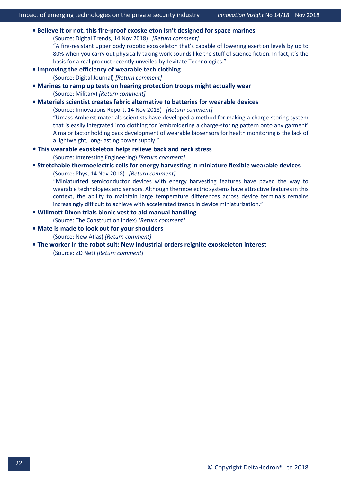- **[Believe it or not, this fire-proof exoskeleton isn't designed for space marines](https://www.digitaltrends.com/cool-tech/fire-resistant-levitate-airframe-exosuit/)** (Source: Digital Trends, 14 Nov 2018) *[\[Return comment\]](mailto:info@deltahedron.co.uk?subject=Comment%20on:%20Believe%20it%20or%20not,%20this%20fire-proof%20exoskeleton%20isn%E2%80%99t%20designed%20for%20space%20marines)* "A fire-resistant upper body robotic exoskeleton that's capable of lowering exertion levels by up to 80% when you carry out physically taxing work sounds like the stuff of science fiction. In fact, it's the basis for a real product recently unveiled by Levitate Technologies." **[• Improving the efficiency of wearable tech cl](http://www.digitaljournal.com/tech-and-science/technology/improving-the-efficiency-of-wearable-tech-clothing/article/530225)othing** (Source: Digital Journal) *[\[Return comment\]](mailto:info@deltahedron.co.uk?subject=Comment%20on:%20Improving%20the%20efficiency%20of%20wearable%20tech%20clothing)* **[• Marines to ramp up tests on hearing protection troops might actually wear](https://www.military.com/defensetech/2018/10/01/marines-ramp-tests-hearing-protection-troops-might-actually-wear.html)**  (Source: Military) *[\[Return comment\]](mailto:info@deltahedron.co.uk?subject=Comment%20on:%20Marines%20to%20ramp%20up%20tests%20on%20hearing%20protection%20troops%20might%20actually%20wear%20)* **• [Materials scientist creates fabric alternative to batteries for wearable devices](https://www.innovations-report.com/html/report/materials-science/materials-scientist-creates-fabric-alternative-to-batteries-for-wearable-devices.html)** (Source: Innovations Report, 14 Nov 2018) *[\[Return comment\]](mailto:info@deltahedron.co.uk?subject=Comment%20on:%20Materials%20scientist%20creates%20fabric%20alternative%20to%20batteries%20for%20wearable%20devices)* "Umass Amherst materials scientists have developed a method for making a charge-storing system that is easily integrated into clothing for 'embroidering a charge-storing pattern onto any garment' A major factor holding back development of wearable biosensors for health monitoring is the lack of a lightweight, long-lasting power supply." **• [This wearable exoskeleton helps relieve back and neck stress](https://interestingengineering.com/this-wearable-exoskeleton-helps-relieve-back-and-neck-stress?_source=newsletter&_campaign=RllonQMyxEK5Y&_uid=K9b68MkneE&_h=d15ee70333b0a386c84f635a4bdf9e59ee4f2966&utm_source=newsletter&utm_medium=mailing&utm_campaign=Newsletter-05-09-2018)** (Source: Interesting Engineering) *[\[Return comment\]](mailto:info@deltahedron.co.uk?subject=Comment%20on:%20This%20wearable%20exoskeleton%20helps%20relieve%20back%20and%20neck%20stress)* **• [Stretchable thermoelectric coils for energy harvesting in miniature flexible wearable devices](https://phys.org/news/2018-11-stretchable-thermoelectric-energy-harvesting-miniature.html)** (Source: Phys, 14 Nov 2018) *[\[Return comment\]](mailto:info@deltahedron.co.uk?subject=Comment%20on:%20Stretchable%20thermoelectric%20coils%20for%20energy%20harvesting%20in%20miniature%20flexible%20wearable%20devices)*
	- "Miniaturized semiconductor devices with energy harvesting features have paved the way to wearable technologies and sensors. Although thermoelectric systems have attractive features in this context, the ability to maintain large temperature differences across device terminals remains increasingly difficult to achieve with accelerated trends in device miniaturization."
- **[Willmott Dixon trials bionic vest to aid manual handling](https://www.theconstructionindex.co.uk/news/view/willmott-dixon-trials-bionic-vest-to-aid-manual-handling)** (Source: The Construction Index) *[\[Return comment\]](mailto:info@deltahedron.co.uk?subject=Comment%20on:%20Willmott%20dixon%20trials%20bionic%20vest%20to%20aid%20manual%20handling)*
- **[Mate is made to look out for y](https://newatlas.com/comau-mate-exoskeleton/56625/?utm_medium=email&utm_campaign=2018-10-04%20083623%20Other%20Daily%20Basic%202018-10-04%20084323%20Hottest%20new%20sports%20cars%20and%20concepts%20from%20the%202018%20Paris%20Motor%20Show&utm_content=2018-10-04%20083623%20Other%20Daily%20Basic%202018-10-04%20084323%20Hottest%20new%20sports%20cars%20and%20concepts%20from%20the%202018%20Paris%20Motor%20ShowCID_c72ef4019a8fbe000bdecff604ab8ff9&utm_source=Campaign%20Monitor&utm_term=MATE%20is%20made%20to%20look%20out%20for%20your%20shoulders)our shoulders** (Source: New Atlas) *[\[Return comment\]](mailto:info@deltahedron.co.uk?subject=Comment%20on:%20Mate%20is%20made%20to%20look%20out%20for%20your%20shoulders)*
- **The worker in the robot suit: [New industrial orders reignite exoskeleton interest](https://www.zdnet.com/article/the-worker-in-the-robot-suit-new-industrial-orders-reignite-exoskeleton-interest/?ftag=TRE-03-10aaa6b&bhid=27422036896811589305410055111452)**  (Source: ZD Net) *[\[Return comment\]](mailto:info@deltahedron.co.uk?subject=Comment%20on:%20The%20worker%20in%20the%20robot%20suit:%20new%20industrial%20orders%20reignite%20exoskeleton%20interest%20)*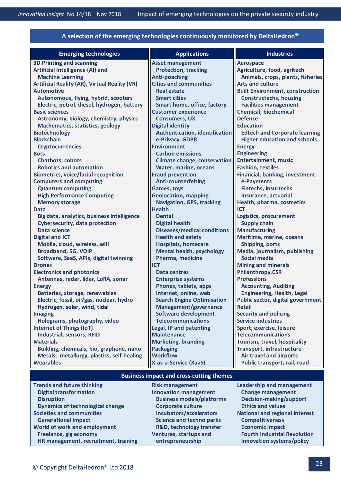| A selection of the emerging technologies continuously monitored by DeltaHedron <sup>®</sup> |                                       |                                          |  |
|---------------------------------------------------------------------------------------------|---------------------------------------|------------------------------------------|--|
| <b>Emerging technologies</b>                                                                | <b>Applications</b>                   | <b>Industries</b>                        |  |
| <b>3D Printing and scanning</b>                                                             | <b>Asset management</b>               | <b>Aerospace</b>                         |  |
| <b>Artificial Intelligence (AI) and</b>                                                     | <b>Protection, tracking</b>           | Agriculture, food, agritech              |  |
| <b>Machine Learning</b>                                                                     | <b>Anti-poaching</b>                  | Animals, crops, plants, fisheries        |  |
| <b>Artificial Reality (AR), Virtual Reality (VR)</b>                                        | <b>Cities and communities</b>         | <b>Arts and culture</b>                  |  |
| <b>Automotive</b>                                                                           | <b>Real estate</b>                    | <b>Built Environment, construction</b>   |  |
| Autonomous, flying, hybrid, scooters                                                        | <b>Smart cities</b>                   | <b>Constructechs, housing</b>            |  |
| Electric, petrol, diesel, hydrogen, battery                                                 | Smart home, office, factory           | <b>Facilities management</b>             |  |
| <b>Basic sciences</b>                                                                       | <b>Customer experience</b>            | <b>Chemical, biochemical</b>             |  |
| Astronomy, biology, chemistry, physics                                                      | <b>Consumers, UX</b>                  | <b>Defence</b>                           |  |
| <b>Mathematics, statistics, geology</b>                                                     | <b>Digital identity</b>               | <b>Education</b>                         |  |
| <b>Biotechnology</b>                                                                        | <b>Authentication, identification</b> | <b>Edtech and Corporate learning</b>     |  |
| <b>Blockchain</b>                                                                           | e-Privacy, GDPR                       | <b>Higher education and schools</b>      |  |
| <b>Cryptocurrencies</b>                                                                     | <b>Environment</b>                    | <b>Energy</b>                            |  |
| <b>Bots</b>                                                                                 | <b>Carbon emissions</b>               | <b>Engineering</b>                       |  |
| <b>Chatbots, cobots</b>                                                                     | <b>Climate change, conservation</b>   | <b>Entertainment, music</b>              |  |
| <b>Robotics and automation</b>                                                              | Water, marine, oceans                 | <b>Fashion, textiles</b>                 |  |
| <b>Biometrics, voice/facial recognition</b>                                                 | <b>Fraud prevention</b>               | <b>Financial, banking, investment</b>    |  |
| <b>Computers and computing</b>                                                              | <b>Anti-counterfeiting</b>            | e-Payments                               |  |
| <b>Quantum computing</b>                                                                    | <b>Games, toys</b>                    | <b>Fintechs, insurtechs</b>              |  |
| <b>High Performance Computing</b>                                                           | <b>Geolocation, mapping</b>           | Insurance, actuarial                     |  |
| <b>Memory storage</b>                                                                       | <b>Navigation, GPS, tracking</b>      | Health, pharma, cosmetics                |  |
| <b>Data</b>                                                                                 | <b>Health</b>                         | ICT                                      |  |
| Big data, analytics, business intelligence                                                  | <b>Dental</b>                         | Logistics, procurement                   |  |
| <b>Cybersecurity, data protection</b>                                                       | <b>Digital health</b>                 | <b>Supply chain</b>                      |  |
| Data science                                                                                | <b>Diseases/medical conditions</b>    | <b>Manufacturing</b>                     |  |
| <b>Digital and ICT</b>                                                                      | <b>Health and safety</b>              | Maritime, marine, oceans                 |  |
| Mobile, cloud, wireless, wifi                                                               | <b>Hospitals, homecare</b>            | <b>Shipping, ports</b>                   |  |
| <b>Broadband, 5G, VOIP</b>                                                                  | <b>Mental health, psychology</b>      | Media, journalism, publishing            |  |
| Software, SaaS, APIs, digital twinning                                                      | Pharma, medicine                      | <b>Social media</b>                      |  |
| <b>Drones</b>                                                                               | <b>ICT</b>                            | <b>Mining and minerals</b>               |  |
| <b>Electronics and photonics</b>                                                            | <b>Data centres</b>                   | <b>Philanthropy,CSR</b>                  |  |
| Antennas, radar, lidar, LoRA, sonar                                                         | <b>Enterprise systems</b>             | <b>Professions</b>                       |  |
| <b>Energy</b>                                                                               | Phones, tablets, apps                 | <b>Accounting, Auditing</b>              |  |
| <b>Batteries, storage, renewables</b>                                                       | Internet, online, web                 | <b>Engineering, Health, Legal</b>        |  |
| Electric, fossil, oil/gas, nuclear, hydro                                                   | <b>Search Engine Optimisation</b>     | <b>Public sector, digital government</b> |  |
| Hydrogen, solar, wind, tidal                                                                | Management/governance                 | <b>Retail</b>                            |  |
| <b>Imaging</b>                                                                              | <b>Software development</b>           | <b>Security and policing</b>             |  |
| Holograms, photography, video                                                               | <b>Telecommunications</b>             | <b>Service industries</b>                |  |
| <b>Internet of Things (IoT)</b>                                                             | Legal, IP and patenting               | Sport, exercise, leisure                 |  |
| Industrial, sensors, RFID                                                                   | <b>Maintenance</b>                    | <b>Telecommunications</b>                |  |
| <b>Materials</b>                                                                            | <b>Marketing, branding</b>            | Tourism, travel, hospitality             |  |
| Building, chemicals, bio, graphene, nano                                                    | <b>Packaging</b>                      | <b>Transport, infrastructure</b>         |  |
| Metals, metallurgy, plastics, self-healing                                                  | <b>Workflow</b>                       | Air travel and airports                  |  |
| <b>Wearables</b>                                                                            | X-as-a-Service (XaaS)                 | Public transport, rail, road             |  |
| <b>Business impact and cross-cutting themes</b>                                             |                                       |                                          |  |
| <b>Trends and future thinking</b>                                                           | <b>Risk management</b>                | <b>Leadership and management</b>         |  |
| <b>Digital transformation</b>                                                               | <b>Innovation management</b>          | <b>Change management</b>                 |  |
| <b>Disruption</b>                                                                           | <b>Business models/platforms</b>      | <b>Decision-making/support</b>           |  |

**Ventures, startups and**

- 
- **Dynamics of technological change <br>Societies and communities by the control of the control of the control of the control of the control of the control of the control of the control of the control of the control of the cont Generational impact Science and techno parks Competitiveness R&D, technology transfer Economic impact National and regional interest** 
	- Freelance, gig economy **Figure 10** Ventures, startups and **Fourth Industrial Revolution HR management, recruitment, training entrepreneurship Innovation systems/policy**

**World of work and employment**